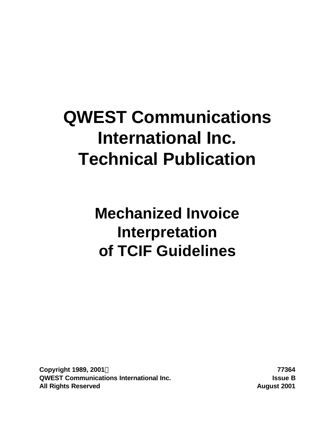# **QWEST Communications International Inc. Technical Publication**

**Mechanized Invoice Interpretation of TCIF Guidelines**

**Copyright 1989, 2001Ó 77364 QWEST Communications International Inc. Issue B All Rights Reserved August 2001**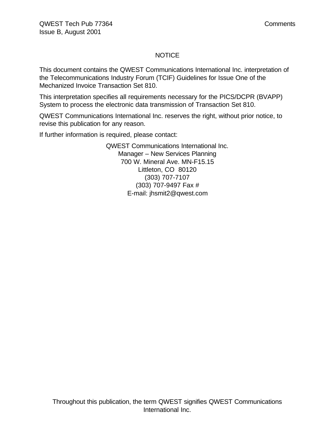#### NOTICE

This document contains the QWEST Communications International Inc. interpretation of the Telecommunications Industry Forum (TCIF) Guidelines for Issue One of the Mechanized Invoice Transaction Set 810.

This interpretation specifies all requirements necessary for the PICS/DCPR (BVAPP) System to process the electronic data transmission of Transaction Set 810.

QWEST Communications International Inc. reserves the right, without prior notice, to revise this publication for any reason.

If further information is required, please contact:

QWEST Communications International Inc. Manager – New Services Planning 700 W. Mineral Ave. MN-F15.15 Littleton, CO 80120 (303) 707-7107 (303) 707-9497 Fax # E-mail: jhsmit2@qwest.com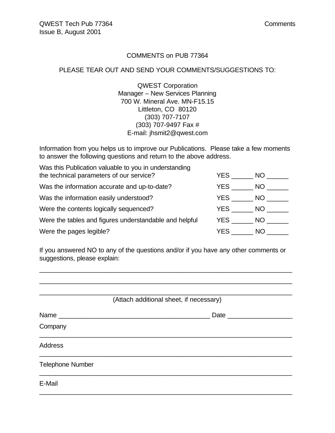#### COMMENTS on PUB 77364

#### PLEASE TEAR OUT AND SEND YOUR COMMENTS/SUGGESTIONS TO:

QWEST Corporation Manager – New Services Planning 700 W. Mineral Ave. MN-F15.15 Littleton, CO 80120 (303) 707-7107 (303) 707-9497 Fax # E-mail: jhsmit2@qwest.com

Information from you helps us to improve our Publications. Please take a few moments to answer the following questions and return to the above address.

| Was this Publication valuable to you in understanding  |            |      |
|--------------------------------------------------------|------------|------|
| the technical parameters of our service?               | YES        | NO.  |
| Was the information accurate and up-to-date?           | <b>YES</b> | NO.  |
| Was the information easily understood?                 | YES        | NO.  |
| Were the contents logically sequenced?                 | YES        | NO.  |
| Were the tables and figures understandable and helpful | YES        | NO - |
| Were the pages legible?                                | YES.       | NO.  |

If you answered NO to any of the questions and/or if you have any other comments or suggestions, please explain:

\_\_\_\_\_\_\_\_\_\_\_\_\_\_\_\_\_\_\_\_\_\_\_\_\_\_\_\_\_\_\_\_\_\_\_\_\_\_\_\_\_\_\_\_\_\_\_\_\_\_\_\_\_\_\_\_\_\_\_\_\_\_\_\_\_\_\_\_\_\_

| (Attach additional sheet, if necessary) |                 |
|-----------------------------------------|-----------------|
|                                         |                 |
|                                         |                 |
|                                         |                 |
|                                         |                 |
|                                         |                 |
|                                         | Date __________ |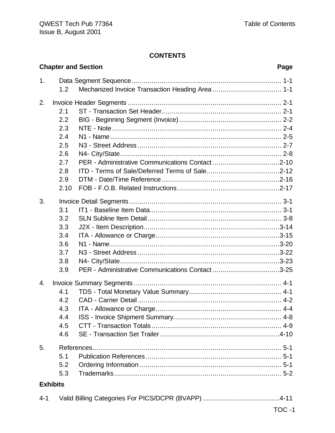# **CONTENTS**

|                 | <b>Chapter and Section</b><br>Page               |
|-----------------|--------------------------------------------------|
| 1.              |                                                  |
| 1.2             |                                                  |
| 2.              |                                                  |
| 2.1             |                                                  |
| 2.2             |                                                  |
| 2.3             |                                                  |
| 2.4             |                                                  |
| 2.5             |                                                  |
| 2.6             |                                                  |
| 2.7             |                                                  |
| 2.8             |                                                  |
| 2.9             |                                                  |
| 2.10            |                                                  |
| 3.              |                                                  |
| 3.1             |                                                  |
| 3.2             |                                                  |
| 3.3             |                                                  |
| 3.4             |                                                  |
| 3.6             |                                                  |
| 3.7             |                                                  |
| 3.8             |                                                  |
| 3.9             | PER - Administrative Communications Contact 3-25 |
| 4.              |                                                  |
| 4.1             |                                                  |
| 4.2             |                                                  |
| 4.3             |                                                  |
| 4.4             |                                                  |
| 4.5             |                                                  |
| 4.6             |                                                  |
| 5.              |                                                  |
| 5.1             |                                                  |
| 5.2             |                                                  |
| 5.3             |                                                  |
| <b>Exhibits</b> |                                                  |

| $4 - 1$ |  |  |
|---------|--|--|
|---------|--|--|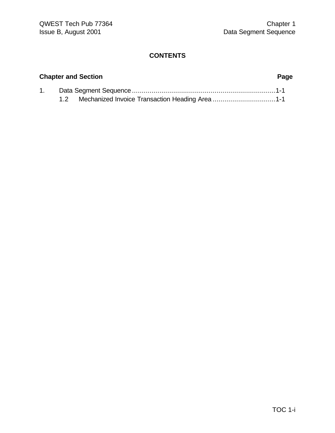# **CONTENTS**

# **Chapter and Section Page**

|  | Mechanized Invoice Transaction Heading Area 1-1 |  |
|--|-------------------------------------------------|--|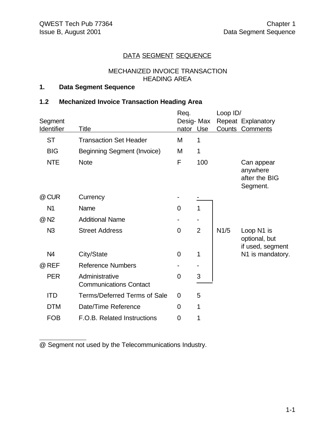# DATA SEGMENT SEQUENCE

#### MECHANIZED INVOICE TRANSACTION HEADING AREA

# **1. Data Segment Sequence**

#### **1.2 Mechanized Invoice Transaction Heading Area**

|                |                                                 | Req.      |                | Loop ID/ |                                                     |  |  |
|----------------|-------------------------------------------------|-----------|----------------|----------|-----------------------------------------------------|--|--|
| Segment        |                                                 |           | Desig- Max     |          | Repeat Explanatory                                  |  |  |
| Identifier     | Title                                           | nator Use |                |          | <b>Counts Comments</b>                              |  |  |
| <b>ST</b>      | <b>Transaction Set Header</b>                   | M         | 1              |          |                                                     |  |  |
| <b>BIG</b>     | <b>Beginning Segment (Invoice)</b>              | Μ         | 1              |          |                                                     |  |  |
| <b>NTE</b>     | <b>Note</b>                                     | F         | 100            |          | Can appear<br>anywhere<br>after the BIG<br>Segment. |  |  |
| @ CUR          | Currency                                        |           |                |          |                                                     |  |  |
| N <sub>1</sub> | Name                                            | 0         | 1              |          |                                                     |  |  |
| @ N2           | <b>Additional Name</b>                          |           | $\blacksquare$ |          |                                                     |  |  |
| N <sub>3</sub> | <b>Street Address</b>                           | 0         | $\overline{2}$ | N1/5     | Loop N1 is<br>optional, but<br>if used, segment     |  |  |
| N <sub>4</sub> | City/State                                      | 0         | 1              |          | N1 is mandatory.                                    |  |  |
| @ REF          | <b>Reference Numbers</b>                        |           |                |          |                                                     |  |  |
| <b>PER</b>     | Administrative<br><b>Communications Contact</b> | 0         | 3              |          |                                                     |  |  |
| <b>ITD</b>     | <b>Terms/Deferred Terms of Sale</b>             | 0         | 5              |          |                                                     |  |  |
| <b>DTM</b>     | Date/Time Reference                             | 0         | 1              |          |                                                     |  |  |
| <b>FOB</b>     | F.O.B. Related Instructions                     | 0         | 1              |          |                                                     |  |  |

@ Segment not used by the Telecommunications Industry.

 $\overline{a}$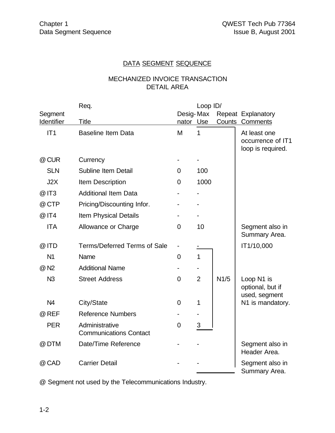# DATA SEGMENT SEQUENCE

# MECHANIZED INVOICE TRANSACTION DETAIL AREA

|                | Req.                                            |                | Loop ID/       |      |                                                        |
|----------------|-------------------------------------------------|----------------|----------------|------|--------------------------------------------------------|
| Segment        |                                                 | Desig-Max      |                |      | Repeat Explanatory                                     |
| Identifier     | Title                                           | nator Use      |                |      | <b>Counts Comments</b>                                 |
| IT1            | <b>Baseline Item Data</b>                       | M              | $\mathbf{1}$   |      | At least one<br>occurrence of IT1<br>loop is required. |
| @ CUR          | Currency                                        |                |                |      |                                                        |
| <b>SLN</b>     | <b>Subline Item Detail</b>                      | $\Omega$       | 100            |      |                                                        |
| J2X            | Item Description                                | $\overline{0}$ | 1000           |      |                                                        |
| @ IT3          | <b>Additional Item Data</b>                     |                |                |      |                                                        |
| @ CTP          | Pricing/Discounting Infor.                      |                |                |      |                                                        |
| @ IT4          | <b>Item Physical Details</b>                    |                |                |      |                                                        |
| <b>ITA</b>     | Allowance or Charge                             | $\Omega$       | 10             |      | Segment also in<br>Summary Area.                       |
| @ ITD          | <b>Terms/Deferred Terms of Sale</b>             |                |                |      | IT1/10,000                                             |
| N <sub>1</sub> | Name                                            | $\overline{0}$ | $\mathbf{1}$   |      |                                                        |
| @ N2           | <b>Additional Name</b>                          |                |                |      |                                                        |
| N <sub>3</sub> | <b>Street Address</b>                           | $\overline{0}$ | $\overline{2}$ | N1/5 | Loop N1 is<br>optional, but if<br>used, segment        |
| N4             | City/State                                      | $\mathbf 0$    | 1              |      | N1 is mandatory.                                       |
| @REF           | <b>Reference Numbers</b>                        |                |                |      |                                                        |
| <b>PER</b>     | Administrative<br><b>Communications Contact</b> | $\overline{0}$ | 3              |      |                                                        |
| @DTM           | Date/Time Reference                             |                |                |      | Segment also in<br>Header Area.                        |
| @ CAD          | <b>Carrier Detail</b>                           |                |                |      | Segment also in<br>Summary Area.                       |

@ Segment not used by the Telecommunications Industry.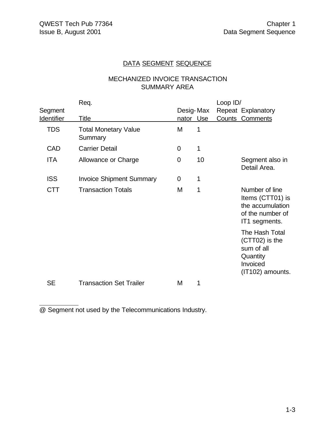# DATA SEGMENT SEQUENCE

# MECHANIZED INVOICE TRANSACTION SUMMARY AREA

|            | Req.                                   |                |    | Loop ID/ |                                                                                             |  |  |
|------------|----------------------------------------|----------------|----|----------|---------------------------------------------------------------------------------------------|--|--|
| Segment    |                                        | Desig-Max      |    |          | Repeat Explanatory                                                                          |  |  |
| Identifier | Title                                  | nator Use      |    |          | <b>Counts Comments</b>                                                                      |  |  |
| <b>TDS</b> | <b>Total Monetary Value</b><br>Summary | M              | 1  |          |                                                                                             |  |  |
| <b>CAD</b> | <b>Carrier Detail</b>                  | 0              | 1  |          |                                                                                             |  |  |
| <b>ITA</b> | Allowance or Charge                    | $\mathbf 0$    | 10 |          | Segment also in<br>Detail Area.                                                             |  |  |
| <b>ISS</b> | <b>Invoice Shipment Summary</b>        | $\overline{0}$ | 1  |          |                                                                                             |  |  |
| <b>CTT</b> | <b>Transaction Totals</b>              | M              | 1  |          | Number of line<br>Items (CTT01) is<br>the accumulation<br>of the number of<br>IT1 segments. |  |  |
|            |                                        |                |    |          | The Hash Total<br>(CTT02) is the<br>sum of all<br>Quantity<br>Invoiced<br>(IT102) amounts.  |  |  |
| <b>SE</b>  | <b>Transaction Set Trailer</b>         | Μ              | 1  |          |                                                                                             |  |  |

@ Segment not used by the Telecommunications Industry.

l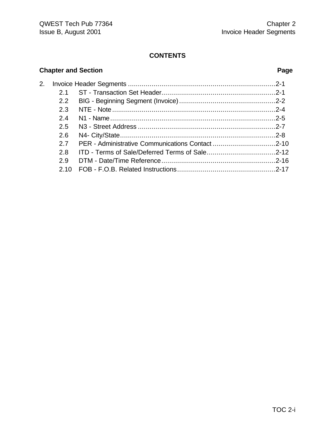# **CONTENTS**

# **Chapter and Section Page**

| 2. |               |  |
|----|---------------|--|
|    |               |  |
|    | $2.2^{\circ}$ |  |
|    | 2.3           |  |
|    | 2.4           |  |
|    | 2.5           |  |
|    | 2.6           |  |
|    | 2.7           |  |
|    | 2.8           |  |
|    | 2.9           |  |
|    |               |  |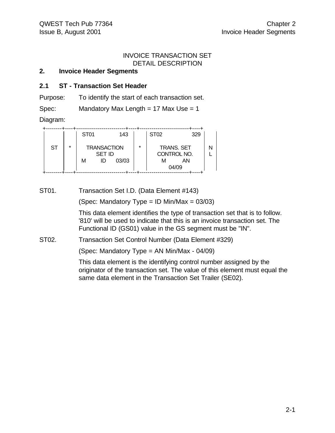#### INVOICE TRANSACTION SET DETAIL DESCRIPTION

#### **2. Invoice Header Segments**

#### **2.1 ST - Transaction Set Header**

Purpose: To identify the start of each transaction set.

Spec: Mandatory Max Length = 17 Max Use = 1

Diagram:

|           |         | ST <sub>01</sub> |                                           | 143   |         | <b>ST02</b> | 329                              |  |
|-----------|---------|------------------|-------------------------------------------|-------|---------|-------------|----------------------------------|--|
| <b>ST</b> | $\star$ | М                | <b>TRANSACTION</b><br><b>SET ID</b><br>ID | 03/03 | $\star$ | CONTROL NO. | <b>TRANS. SET</b><br>ΑN<br>04/09 |  |

ST01. Transaction Set I.D. (Data Element #143)

(Spec: Mandatory Type = ID Min/Max = 03/03)

This data element identifies the type of transaction set that is to follow. '810' will be used to indicate that this is an invoice transaction set. The Functional ID (GS01) value in the GS segment must be "IN".

ST02. Transaction Set Control Number (Data Element #329)

(Spec: Mandatory Type = AN Min/Max - 04/09)

This data element is the identifying control number assigned by the originator of the transaction set. The value of this element must equal the same data element in the Transaction Set Trailer (SE02).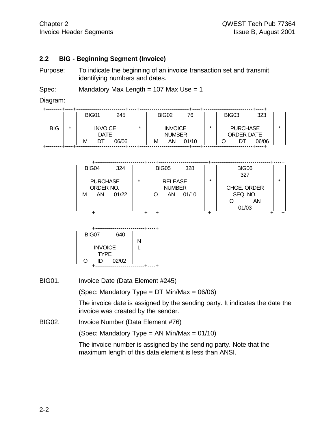#### **2.2 BIG - Beginning Segment (Invoice)**

Purpose: To indicate the beginning of an invoice transaction set and transmit identifying numbers and dates.

Spec: Mandatory Max Length = 107 Max Use = 1

Diagram:

|            |   | BIG01          |  | 245                    |  |   | BIG02 | 76                              |  | BIG03 |  | 323                                  |  |
|------------|---|----------------|--|------------------------|--|---|-------|---------------------------------|--|-------|--|--------------------------------------|--|
| <b>BIG</b> | ÷ | <b>INVOICE</b> |  | $\star$<br><b>DATE</b> |  |   |       | <b>INVOICE</b><br><b>NUMBER</b> |  |       |  | <b>PURCHASE</b><br><b>ORDER DATE</b> |  |
|            |   | м              |  | 06/06                  |  | м | ΑN    | 01/10                           |  |       |  | 06/06                                |  |

| BIG04                      | 324   |  | <b>BIG05</b>   |               | 328   |         | BIG06       |  |
|----------------------------|-------|--|----------------|---------------|-------|---------|-------------|--|
|                            |       |  |                |               |       |         | 327         |  |
| $\star$<br><b>PURCHASE</b> |       |  | <b>RELEASE</b> |               |       | $\star$ |             |  |
| ORDER NO.                  |       |  |                | <b>NUMBER</b> |       |         | CHGE. ORDER |  |
| AN<br>M                    | 01/22 |  |                | AN            | 01/10 |         | SEQ. NO.    |  |
|                            |       |  |                |               |       |         | AN          |  |
|                            |       |  |                |               |       |         | 01/03       |  |
|                            |       |  |                |               |       |         |             |  |



BIG01. Invoice Date (Data Element #245)

(Spec: Mandatory Type =  $DT$  Min/Max = 06/06)

The invoice date is assigned by the sending party. It indicates the date the invoice was created by the sender.

BIG02. Invoice Number (Data Element #76)

(Spec: Mandatory Type = AN Min/Max = 01/10)

The invoice number is assigned by the sending party. Note that the maximum length of this data element is less than ANSI.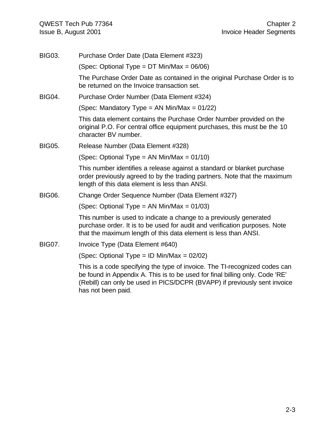QWEST Tech Pub 77364 Chapter 2 Issue B, August 2001 **Invoice Header Segments** 

| <b>BIG03.</b> | Purchase Order Date (Data Element #323)                                                                                                                                                                                                                       |
|---------------|---------------------------------------------------------------------------------------------------------------------------------------------------------------------------------------------------------------------------------------------------------------|
|               | (Spec: Optional Type = $DT$ Min/Max = 06/06)                                                                                                                                                                                                                  |
|               | The Purchase Order Date as contained in the original Purchase Order is to<br>be returned on the Invoice transaction set.                                                                                                                                      |
| <b>BIG04.</b> | Purchase Order Number (Data Element #324)                                                                                                                                                                                                                     |
|               | (Spec: Mandatory Type = AN Min/Max = $01/22$ )                                                                                                                                                                                                                |
|               | This data element contains the Purchase Order Number provided on the<br>original P.O. For central office equipment purchases, this must be the 10<br>character BV number.                                                                                     |
| <b>BIG05.</b> | Release Number (Data Element #328)                                                                                                                                                                                                                            |
|               | (Spec: Optional Type = AN Min/Max = $01/10$ )                                                                                                                                                                                                                 |
|               | This number identifies a release against a standard or blanket purchase<br>order previously agreed to by the trading partners. Note that the maximum<br>length of this data element is less than ANSI.                                                        |
| <b>BIG06.</b> | Change Order Sequence Number (Data Element #327)                                                                                                                                                                                                              |
|               | (Spec: Optional Type = AN Min/Max = $01/03$ )                                                                                                                                                                                                                 |
|               | This number is used to indicate a change to a previously generated<br>purchase order. It is to be used for audit and verification purposes. Note<br>that the maximum length of this data element is less than ANSI.                                           |
| <b>BIG07.</b> | Invoice Type (Data Element #640)                                                                                                                                                                                                                              |
|               | (Spec: Optional Type = ID Min/Max = $02/02$ )                                                                                                                                                                                                                 |
|               | This is a code specifying the type of invoice. The TI-recognized codes can<br>be found in Appendix A. This is to be used for final billing only. Code 'RE'<br>(Rebill) can only be used in PICS/DCPR (BVAPP) if previously sent invoice<br>has not been paid. |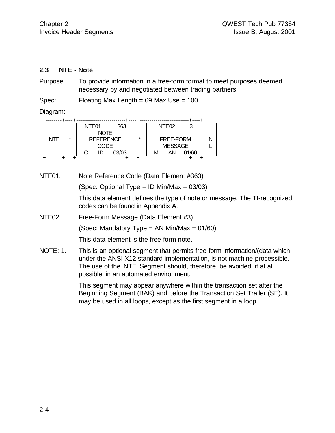#### **2.3 NTE - Note**

Purpose: To provide information in a free-form format to meet purposes deemed necessary by and negotiated between trading partners.

Spec: Floating Max Length = 69 Max Use = 100

Diagram:

|     |         | NTE <sub>01</sub> | 363              |         | NTE <sub>02</sub> |       |  |
|-----|---------|-------------------|------------------|---------|-------------------|-------|--|
|     |         |                   | <b>NOTE</b>      |         |                   |       |  |
| NTF | $\star$ |                   | <b>REFERENCE</b> | $\star$ | FREE-FORM         |       |  |
|     |         |                   | CODE             |         | <b>MESSAGE</b>    |       |  |
|     |         | ID                | 03/03            |         | AN<br>м           | 01/60 |  |
|     |         |                   |                  |         |                   |       |  |

NTE01. Note Reference Code (Data Element #363)

(Spec: Optional Type = ID Min/Max = 03/03)

This data element defines the type of note or message. The TI-recognized codes can be found in Appendix A.

NTE02. Free-Form Message (Data Element #3)

(Spec: Mandatory Type = AN Min/Max =  $01/60$ )

This data element is the free-form note.

NOTE: 1. This is an optional segment that permits free-form information/(data which, under the ANSI X12 standard implementation, is not machine processible. The use of the 'NTE' Segment should, therefore, be avoided, if at all possible, in an automated environment.

> This segment may appear anywhere within the transaction set after the Beginning Segment (BAK) and before the Transaction Set Trailer (SE). It may be used in all loops, except as the first segment in a loop.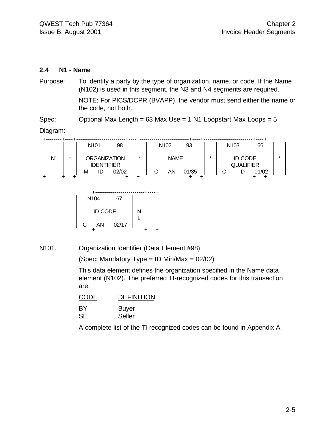#### **2.4 N1 - Name**

Purpose: To identify a party by the type of organization, name, or code. If the Name (N102) is used in this segment, the N3 and N4 segments are required.

> NOTE: For PICS/DCPR (BVAPP), the vendor must send either the name or the code, not both.

Spec: Optional Max Length = 63 Max Use = 1 N1 Loopstart Max Loops = 5

Diagram:

|    |   | N <sub>101</sub>  |    | 98                  |         | N <sub>102</sub> | 93    |         | N <sub>103</sub> |                  | 66    |         |
|----|---|-------------------|----|---------------------|---------|------------------|-------|---------|------------------|------------------|-------|---------|
| N1 | * |                   |    | <b>ORGANIZATION</b> | $\star$ | <b>NAME</b>      |       | $\star$ |                  | <b>ID CODE</b>   |       | $\star$ |
|    |   | <b>IDENTIFIER</b> |    |                     |         |                  |       |         |                  | <b>QUALIFIER</b> |       |         |
|    |   | М                 | ID | 02/02               |         | AN               | 01/35 |         |                  | ID               | 01/02 |         |
|    |   |                   |    |                     |         |                  |       |         |                  |                  |       |         |



N101. Organization Identifier (Data Element #98)

(Spec: Mandatory Type = ID Min/Max = 02/02)

This data element defines the organization specified in the Name data element (N102). The preferred TI-recognized codes for this transaction are:

| <b>CODE</b> | <b>DEFINITION</b> |
|-------------|-------------------|
| BY          | <b>Buyer</b>      |
| <b>SE</b>   | Seller            |

A complete list of the TI-recognized codes can be found in Appendix A.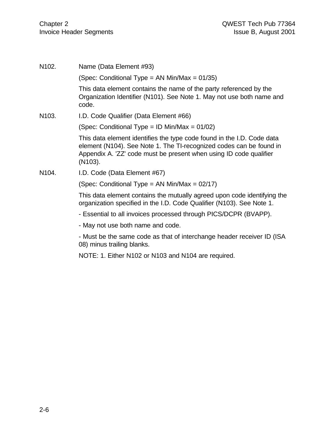| N <sub>102</sub> . | Name (Data Element #93)                                                                                                                                                                                                           |
|--------------------|-----------------------------------------------------------------------------------------------------------------------------------------------------------------------------------------------------------------------------------|
|                    | (Spec: Conditional Type = AN Min/Max = $01/35$ )                                                                                                                                                                                  |
|                    | This data element contains the name of the party referenced by the<br>Organization Identifier (N101). See Note 1. May not use both name and<br>code.                                                                              |
| N <sub>103</sub> . | I.D. Code Qualifier (Data Element #66)                                                                                                                                                                                            |
|                    | (Spec: Conditional Type = ID Min/Max = $01/02$ )                                                                                                                                                                                  |
|                    | This data element identifies the type code found in the I.D. Code data<br>element (N104). See Note 1. The TI-recognized codes can be found in<br>Appendix A. 'ZZ' code must be present when using ID code qualifier<br>$(N103)$ . |
| N <sub>104</sub> . | I.D. Code (Data Element #67)                                                                                                                                                                                                      |
|                    | (Spec: Conditional Type = AN Min/Max = $02/17$ )                                                                                                                                                                                  |
|                    | This data element contains the mutually agreed upon code identifying the<br>organization specified in the I.D. Code Qualifier (N103). See Note 1.                                                                                 |
|                    | - Essential to all invoices processed through PICS/DCPR (BVAPP).                                                                                                                                                                  |
|                    | - May not use both name and code.                                                                                                                                                                                                 |
|                    | - Must be the same code as that of interchange header receiver ID (ISA<br>08) minus trailing blanks.                                                                                                                              |

NOTE: 1. Either N102 or N103 and N104 are required.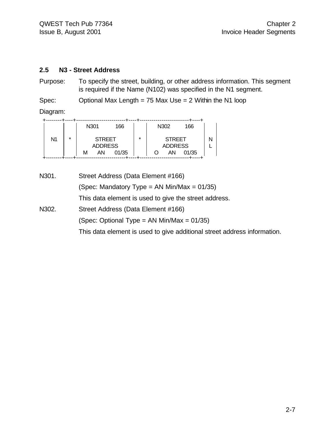#### **2.5 N3 - Street Address**

Purpose: To specify the street, building, or other address information. This segment is required if the Name (N102) was specified in the N1 segment.

Spec: Optional Max Length = 75 Max Use = 2 Within the N1 loop

Diagram:

|                |         | N301           |               | 166   |         | N302           | 166   |  |
|----------------|---------|----------------|---------------|-------|---------|----------------|-------|--|
| N <sub>1</sub> | $\star$ |                | <b>STREET</b> |       | $\star$ | <b>STREET</b>  |       |  |
|                |         | <b>ADDRESS</b> |               |       |         | <b>ADDRESS</b> |       |  |
|                |         | М              | AN            | 01/35 |         | AN             | 01/35 |  |
|                |         |                |               |       |         |                |       |  |

N301. Street Address (Data Element #166) (Spec: Mandatory Type = AN Min/Max =  $01/35$ ) This data element is used to give the street address. N302. Street Address (Data Element #166) (Spec: Optional Type = AN Min/Max = 01/35) This data element is used to give additional street address information.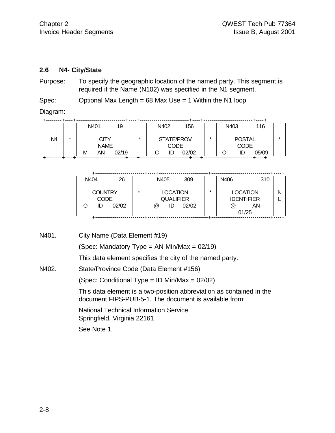#### **2.6 N4- City/State**

Purpose: To specify the geographic location of the named party. This segment is required if the Name (N102) was specified in the N1 segment.

Spec: Optional Max Length = 68 Max Use = 1 Within the N1 loop

Diagram:

|    |         |             | N401 | 19    |         | N402       | 156   |         | N403 |               | 116   |
|----|---------|-------------|------|-------|---------|------------|-------|---------|------|---------------|-------|
| N4 | $\star$ |             | CITY |       | $\star$ | STATE/PROV |       | $\star$ |      | <b>POSTAL</b> |       |
|    |         | <b>NAME</b> |      |       |         | CODE       |       |         |      | <b>CODE</b>   |       |
|    |         | М           | AN   | 02/19 |         | ıD         | 02/02 |         |      | ID            | 05/09 |

| N404                 | 26                   |         | N405                                           | 309   |         | N406 | 310                                                 |  |
|----------------------|----------------------|---------|------------------------------------------------|-------|---------|------|-----------------------------------------------------|--|
| <b>COUNTRY</b><br>ID | <b>CODE</b><br>02/02 | $\star$ | <b>LOCATION</b><br><b>QUALIFIER</b><br>@<br>ID | 02/02 | $\star$ | @    | <b>LOCATION</b><br><b>IDENTIFIER</b><br>AN<br>01/25 |  |

N401. City Name (Data Element #19) (Spec: Mandatory Type = AN Min/Max = 02/19) This data element specifies the city of the named party. N402. State/Province Code (Data Element #156) (Spec: Conditional Type = ID Min/Max = 02/02) This data element is a two-position abbreviation as contained in the document FIPS-PUB-5-1. The document is available from: National Technical Information Service Springfield, Virginia 22161 See Note 1.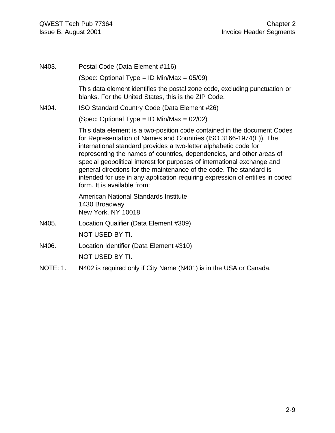| N403.    | Postal Code (Data Element #116)                                                                                                                                                                                                                                                                                                                                                                                                                                                                                                                               |
|----------|---------------------------------------------------------------------------------------------------------------------------------------------------------------------------------------------------------------------------------------------------------------------------------------------------------------------------------------------------------------------------------------------------------------------------------------------------------------------------------------------------------------------------------------------------------------|
|          | (Spec: Optional Type = ID Min/Max = $05/09$ )                                                                                                                                                                                                                                                                                                                                                                                                                                                                                                                 |
|          | This data element identifies the postal zone code, excluding punctuation or<br>blanks. For the United States, this is the ZIP Code.                                                                                                                                                                                                                                                                                                                                                                                                                           |
| N404.    | ISO Standard Country Code (Data Element #26)                                                                                                                                                                                                                                                                                                                                                                                                                                                                                                                  |
|          | (Spec: Optional Type = ID Min/Max = $02/02$ )                                                                                                                                                                                                                                                                                                                                                                                                                                                                                                                 |
|          | This data element is a two-position code contained in the document Codes<br>for Representation of Names and Countries (ISO 3166-1974(E)). The<br>international standard provides a two-letter alphabetic code for<br>representing the names of countries, dependencies, and other areas of<br>special geopolitical interest for purposes of international exchange and<br>general directions for the maintenance of the code. The standard is<br>intended for use in any application requiring expression of entities in coded<br>form. It is available from: |
|          | American National Standards Institute<br>1430 Broadway<br>New York, NY 10018                                                                                                                                                                                                                                                                                                                                                                                                                                                                                  |
| N405.    | Location Qualifier (Data Element #309)                                                                                                                                                                                                                                                                                                                                                                                                                                                                                                                        |
|          | NOT USED BY TI.                                                                                                                                                                                                                                                                                                                                                                                                                                                                                                                                               |
| N406.    | Location Identifier (Data Element #310)                                                                                                                                                                                                                                                                                                                                                                                                                                                                                                                       |
|          | NOT USED BY TI.                                                                                                                                                                                                                                                                                                                                                                                                                                                                                                                                               |
| NOTE: 1. | N402 is required only if City Name (N401) is in the USA or Canada.                                                                                                                                                                                                                                                                                                                                                                                                                                                                                            |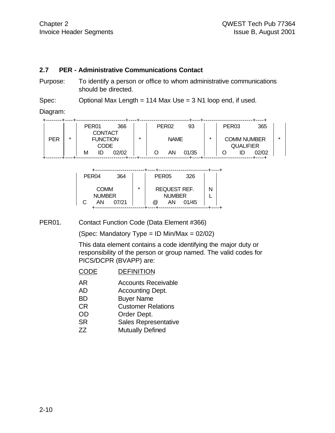#### **2.7 PER - Administrative Communications Contact**

Purpose: To identify a person or office to whom administrative communications should be directed.

Spec: Optional Max Length = 114 Max Use = 3 N1 loop end, if used.

Diagram:

|     |         | PER <sub>01</sub>       | 366   |         | PER <sub>02</sub> |    | 93    |             | PER <sub>03</sub> |                  | 365                |  |  |
|-----|---------|-------------------------|-------|---------|-------------------|----|-------|-------------|-------------------|------------------|--------------------|--|--|
|     |         | <b>CONTACT</b>          |       |         |                   |    |       |             |                   |                  |                    |  |  |
| PER | $\star$ | <b>FUNCTION</b><br>CODE |       | $\star$ |                   |    |       | <b>NAME</b> |                   |                  | <b>COMM NUMBER</b> |  |  |
|     |         |                         |       |         |                   |    |       |             |                   | <b>QUALIFIER</b> |                    |  |  |
|     |         | IC<br>М                 | 02/02 |         |                   | AN | 01/35 |             |                   |                  | 02/02              |  |  |
|     |         |                         |       |         |                   |    |       |             |                   |                  |                    |  |  |

| PER <sub>04</sub>                       | 364   |         | PER <sub>05</sub>          | 326                                           |   |  |
|-----------------------------------------|-------|---------|----------------------------|-----------------------------------------------|---|--|
| <b>COMM</b><br><b>NUMBER</b><br>AN<br>C | 07/21 | $\star$ | AN<br>$^{\textregistered}$ | <b>REQUEST REF.</b><br><b>NUMBER</b><br>01/45 | N |  |

PER01. Contact Function Code (Data Element #366)

(Spec: Mandatory Type = ID Min/Max = 02/02)

This data element contains a code identifying the major duty or responsibility of the person or group named. The valid codes for PICS/DCPR (BVAPP) are:

- CODE DEFINITION
- AR Accounts Receivable
- AD Accounting Dept.
- BD Buyer Name
- CR Customer Relations
- OD Order Dept.
- SR Sales Representative
- ZZ Mutually Defined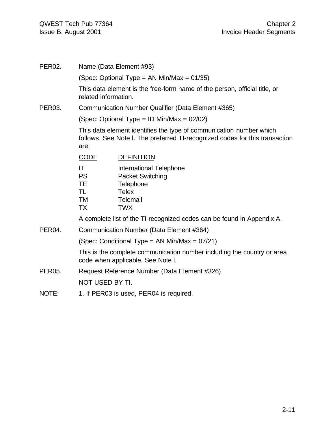| PER <sub>02</sub> . | Name (Data Element #93)                                                                                                                                    |                                                                                                           |  |  |  |  |  |  |
|---------------------|------------------------------------------------------------------------------------------------------------------------------------------------------------|-----------------------------------------------------------------------------------------------------------|--|--|--|--|--|--|
|                     |                                                                                                                                                            | (Spec: Optional Type = AN Min/Max = $01/35$ )                                                             |  |  |  |  |  |  |
|                     | related information.                                                                                                                                       | This data element is the free-form name of the person, official title, or                                 |  |  |  |  |  |  |
| PER <sub>03</sub> . |                                                                                                                                                            | Communication Number Qualifier (Data Element #365)                                                        |  |  |  |  |  |  |
|                     |                                                                                                                                                            | (Spec: Optional Type = ID Min/Max = $02/02$ )                                                             |  |  |  |  |  |  |
|                     | This data element identifies the type of communication number which<br>follows. See Note I. The preferred TI-recognized codes for this transaction<br>are: |                                                                                                           |  |  |  |  |  |  |
|                     | <b>CODE</b>                                                                                                                                                | <b>DEFINITION</b>                                                                                         |  |  |  |  |  |  |
|                     | IT.<br><b>PS</b><br>TE.<br>TL.<br>TM<br>TX                                                                                                                 | International Telephone<br><b>Packet Switching</b><br>Telephone<br><b>Telex</b><br>Telemail<br><b>TWX</b> |  |  |  |  |  |  |
|                     |                                                                                                                                                            | A complete list of the TI-recognized codes can be found in Appendix A.                                    |  |  |  |  |  |  |
| PER <sub>04</sub> . |                                                                                                                                                            | Communication Number (Data Element #364)                                                                  |  |  |  |  |  |  |
|                     | (Spec: Conditional Type = AN Min/Max = $07/21$ )                                                                                                           |                                                                                                           |  |  |  |  |  |  |
|                     | This is the complete communication number including the country or area<br>code when applicable. See Note I.                                               |                                                                                                           |  |  |  |  |  |  |
| <b>PER05.</b>       |                                                                                                                                                            | Request Reference Number (Data Element #326)                                                              |  |  |  |  |  |  |
|                     | NOT USED BY TI.                                                                                                                                            |                                                                                                           |  |  |  |  |  |  |
| NOTE:               |                                                                                                                                                            | 1. If PER03 is used, PER04 is required.                                                                   |  |  |  |  |  |  |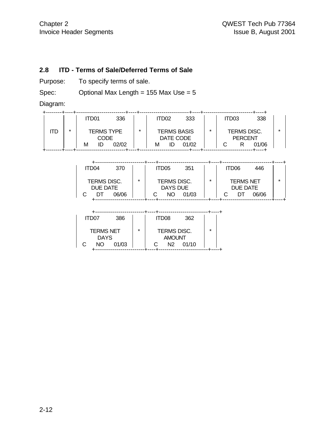### **2.8 ITD - Terms of Sale/Deferred Terms of Sale**

Purpose: To specify terms of sale.

Spec: Optional Max Length = 155 Max Use = 5

+-------------------------+----+-------------------------+----+

Diagram:

|     |                                                        | ITD01<br>336                                               |         | ITD <sub>02</sub><br>333                            |         | ITD03<br>338                                               |         |
|-----|--------------------------------------------------------|------------------------------------------------------------|---------|-----------------------------------------------------|---------|------------------------------------------------------------|---------|
| ITD | $\star$<br><b>TERMS TYPE</b><br><b>CODE</b><br>ID<br>M |                                                            | *       | <b>TERMS BASIS</b><br>DATE CODE<br>ID<br>01/02<br>M | $\star$ | TERMS DISC.<br><b>PERCENT</b><br>R<br>01/06<br>С<br>+----+ | $\star$ |
|     |                                                        |                                                            |         |                                                     |         |                                                            |         |
|     |                                                        | 370<br>ITD04                                               |         | ITD <sub>05</sub><br>351                            |         | ITD06<br>446                                               |         |
|     |                                                        | TERMS DISC.<br><b>DUE DATE</b><br>DT<br>06/06<br>C         | $\star$ | TERMS DISC.<br><b>DAYS DUE</b><br>NO<br>01/03<br>C  | $\star$ | <b>TERMS NET</b><br>DUE DATE<br>DT<br>06/06<br>С           | $\star$ |
|     |                                                        |                                                            |         |                                                     |         |                                                            |         |
|     |                                                        | ITD07<br>386                                               |         | ITD08<br>362                                        | +----+  |                                                            |         |
|     |                                                        | <b>TERMS NET</b><br><b>DAYS</b><br>01/03<br>С<br><b>NO</b> | $\star$ | TERMS DISC.<br><b>AMOUNT</b><br>N2<br>01/10<br>С    | $\star$ |                                                            |         |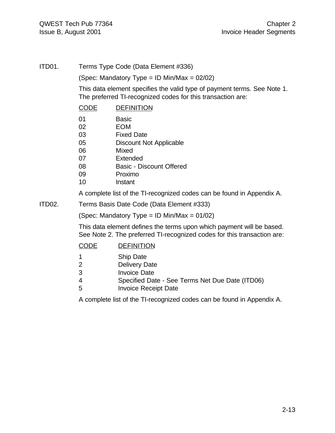#### ITD01. Terms Type Code (Data Element #336)

(Spec: Mandatory Type = ID Min/Max = 02/02)

This data element specifies the valid type of payment terms. See Note 1. The preferred TI-recognized codes for this transaction are:

#### CODE DEFINITION

- 01 Basic
- 02 EOM
- 03 Fixed Date
- 05 Discount Not Applicable
- 06 Mixed
- 07 Extended
- 08 Basic Discount Offered
- 09 Proximo
- 10 Instant

A complete list of the TI-recognized codes can be found in Appendix A.

ITD02. Terms Basis Date Code (Data Element #333)

(Spec: Mandatory Type = ID Min/Max = 01/02)

This data element defines the terms upon which payment will be based. See Note 2. The preferred TI-recognized codes for this transaction are:

#### CODE DEFINITION

- 1 Ship Date
- 2 Delivery Date
- 3 Invoice Date
- 4 Specified Date See Terms Net Due Date (ITD06)
- 5 Invoice Receipt Date

A complete list of the TI-recognized codes can be found in Appendix A.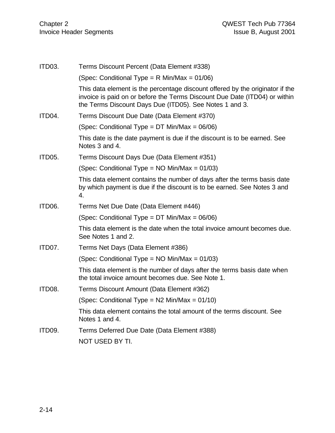| ITD03. | Terms Discount Percent (Data Element #338)                                                                                                                                                                             |
|--------|------------------------------------------------------------------------------------------------------------------------------------------------------------------------------------------------------------------------|
|        | (Spec: Conditional Type = $R$ Min/Max = 01/06)                                                                                                                                                                         |
|        | This data element is the percentage discount offered by the originator if the<br>invoice is paid on or before the Terms Discount Due Date (ITD04) or within<br>the Terms Discount Days Due (ITD05). See Notes 1 and 3. |
| ITD04. | Terms Discount Due Date (Data Element #370)                                                                                                                                                                            |
|        | (Spec: Conditional Type = $DT$ Min/Max = 06/06)                                                                                                                                                                        |
|        | This date is the date payment is due if the discount is to be earned. See<br>Notes 3 and 4.                                                                                                                            |
| ITD05. | Terms Discount Days Due (Data Element #351)                                                                                                                                                                            |
|        | (Spec: Conditional Type = $NO$ Min/Max = $01/03$ )                                                                                                                                                                     |
|        | This data element contains the number of days after the terms basis date<br>by which payment is due if the discount is to be earned. See Notes 3 and<br>4.                                                             |
| ITD06. | Terms Net Due Date (Data Element #446)                                                                                                                                                                                 |
|        | (Spec: Conditional Type = $DT$ Min/Max = 06/06)                                                                                                                                                                        |
|        | This data element is the date when the total invoice amount becomes due.<br>See Notes 1 and 2.                                                                                                                         |
| ITD07. | Terms Net Days (Data Element #386)                                                                                                                                                                                     |
|        | (Spec: Conditional Type = $NO$ Min/Max = $01/03$ )                                                                                                                                                                     |
|        | This data element is the number of days after the terms basis date when<br>the total invoice amount becomes due. See Note 1.                                                                                           |
| ITD08. | Terms Discount Amount (Data Element #362)                                                                                                                                                                              |
|        | (Spec: Conditional Type = $N2$ Min/Max = 01/10)                                                                                                                                                                        |
|        | This data element contains the total amount of the terms discount. See<br>Notes 1 and 4.                                                                                                                               |
| ITD09. | Terms Deferred Due Date (Data Element #388)                                                                                                                                                                            |
|        | NOT USED BY TI.                                                                                                                                                                                                        |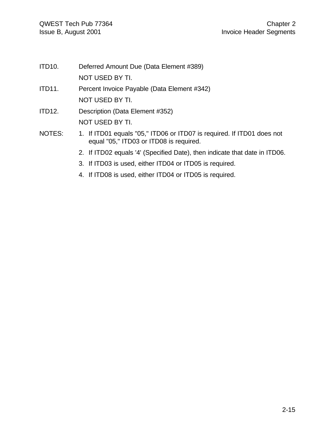- ITD10. Deferred Amount Due (Data Element #389) NOT USED BY TI.
- ITD11. Percent Invoice Payable (Data Element #342) NOT USED BY TI.
- ITD12. Description (Data Element #352) NOT USED BY TI.
- NOTES: 1. If ITD01 equals "05," ITD06 or ITD07 is required. If ITD01 does not equal "05," ITD03 or ITD08 is required.
	- 2. If ITD02 equals '4' (Specified Date), then indicate that date in ITD06.
	- 3. If ITD03 is used, either ITD04 or ITD05 is required.
	- 4. If ITD08 is used, either ITD04 or ITD05 is required.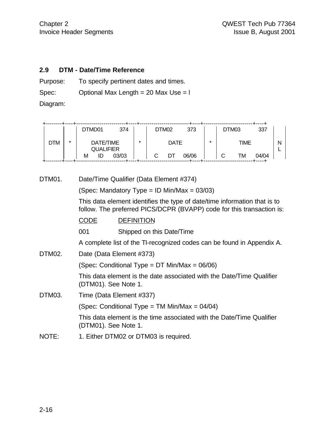#### **2.9 DTM - Date/Time Reference**

Purpose: To specify pertinent dates and times.

Spec: Optional Max Length = 20 Max Use = l

Diagram:

|            |         | DTMD01                        | 374   |         |             | DTM <sub>02</sub> | 373   |             |  | DTM03 | 337   |  |
|------------|---------|-------------------------------|-------|---------|-------------|-------------------|-------|-------------|--|-------|-------|--|
| <b>DTM</b> | $\star$ | DATE/TIME<br><b>QUALIFIER</b> |       | $\star$ | <b>DATE</b> |                   | *     | <b>TIME</b> |  |       |       |  |
|            |         | ID<br>M                       | 03/03 |         |             | DT                | 06/06 |             |  | TМ    | 04/04 |  |

DTM01. Date/Time Qualifier (Data Element #374)

(Spec: Mandatory Type = ID Min/Max = 03/03)

This data element identifies the type of date/time information that is to follow. The preferred PICS/DCPR (BVAPP) code for this transaction is:

#### CODE DEFINITION

001 Shipped on this Date/Time

A complete list of the TI-recognized codes can be found in Appendix A.

DTM02. Date (Data Element #373)

(Spec: Conditional Type = DT Min/Max = 06/06)

This data element is the date associated with the Date/Time Qualifier (DTM01). See Note 1.

DTM03. Time (Data Element #337)

(Spec: Conditional Type = TM Min/Max = 04/04)

This data element is the time associated with the Date/Time Qualifier (DTM01). See Note 1.

NOTE: 1. Either DTM02 or DTM03 is required.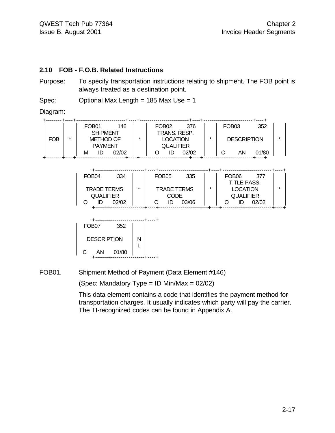#### **2.10 FOB - F.O.B. Related Instructions**

Purpose: To specify transportation instructions relating to shipment. The FOB point is always treated as a destination point.

Spec: Optional Max Length = 185 Max Use = 1

Diagram:

|     |   | FOB <sub>01</sub>           | 146   |         | FOB <sub>02</sub> |    | 376                 |                    | FOB <sub>03</sub> | 352   |   |
|-----|---|-----------------------------|-------|---------|-------------------|----|---------------------|--------------------|-------------------|-------|---|
|     |   | <b>SHIPMENT</b>             |       |         |                   |    | <b>TRANS, RESP.</b> |                    |                   |       |   |
| FOB | ÷ | METHOD OF<br><b>PAYMENT</b> |       | $\star$ | <b>LOCATION</b>   |    |                     | <b>DESCRIPTION</b> |                   |       | * |
|     |   |                             |       |         | <b>QUALIFIER</b>  |    |                     |                    |                   |       |   |
|     |   | ID<br>М                     | 02/02 |         |                   | ID | 02/02               |                    | AN                | 01/80 |   |
|     |   |                             |       |         |                   |    |                     |                    |                   |       |   |

| FOB <sub>04</sub>                      | 334   |  | FOB <sub>05</sub>                 |  | 335   |         | FOB <sub>06</sub><br><b>TITLE PASS.</b> | 377   |  |
|----------------------------------------|-------|--|-----------------------------------|--|-------|---------|-----------------------------------------|-------|--|
| <b>TRADE TERMS</b><br><b>QUALIFIER</b> |       |  | <b>TRADE TERMS</b><br><b>CODE</b> |  |       | $\star$ | <b>LOCATION</b><br><b>QUALIFIER</b>     |       |  |
| ID                                     | 02/02 |  |                                   |  | 03/06 |         |                                         | 02/02 |  |

|   | FOB <sub>07</sub>  | 352   |  |
|---|--------------------|-------|--|
|   | <b>DESCRIPTION</b> |       |  |
| C | ΑN                 | 01/80 |  |

FOB01. Shipment Method of Payment (Data Element #146)

(Spec: Mandatory Type = ID Min/Max =  $02/02$ )

This data element contains a code that identifies the payment method for transportation charges. It usually indicates which party will pay the carrier. The TI-recognized codes can be found in Appendix A.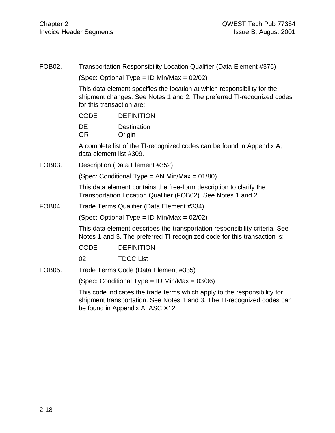FOB02. Transportation Responsibility Location Qualifier (Data Element #376)

(Spec: Optional Type = ID Min/Max = 02/02)

This data element specifies the location at which responsibility for the shipment changes. See Notes 1 and 2. The preferred TI-recognized codes for this transaction are:

|        | <b>CODE</b>     | <b>DEFINITION</b>                                                                                                                                       |
|--------|-----------------|---------------------------------------------------------------------------------------------------------------------------------------------------------|
|        | DE<br><b>OR</b> | <b>Destination</b><br>Origin                                                                                                                            |
|        |                 | A complete list of the TI-recognized codes can be found in Appendix A,<br>data element list #309.                                                       |
| FOB03. |                 | Description (Data Element #352)                                                                                                                         |
|        |                 | (Spec: Conditional Type = AN Min/Max = $01/80$ )                                                                                                        |
|        |                 | This data element contains the free-form description to clarify the<br>Transportation Location Qualifier (FOB02). See Notes 1 and 2.                    |
| FOB04. |                 | Trade Terms Qualifier (Data Element #334)                                                                                                               |
|        |                 | (Spec: Optional Type = ID Min/Max = $02/02$ )                                                                                                           |
|        |                 | This data element describes the transportation responsibility criteria. See<br>Notes 1 and 3. The preferred TI-recognized code for this transaction is: |
|        | <b>CODE</b>     | <b>DEFINITION</b>                                                                                                                                       |
|        | 02              | <b>TDCC List</b>                                                                                                                                        |
| FOB05. |                 | Trade Terms Code (Data Element #335)                                                                                                                    |
|        |                 | (Spec: Conditional Type = ID Min/Max = $03/06$ )                                                                                                        |
|        |                 | This code indicates the trade terms which apply to the responsibility for                                                                               |

shipment transportation. See Notes 1 and 3. The TI-recognized codes can be found in Appendix A, ASC X12.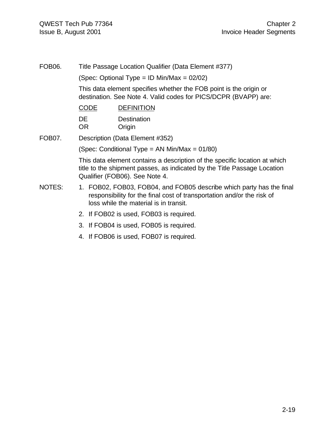FOB06. Title Passage Location Qualifier (Data Element #377)

(Spec: Optional Type = ID Min/Max = 02/02)

This data element specifies whether the FOB point is the origin or destination. See Note 4. Valid codes for PICS/DCPR (BVAPP) are:

| <b>CODE</b> | <b>DEFINITION</b> |
|-------------|-------------------|
| DF.         | Destination       |
| OR.         | Origin            |

FOB07. Description (Data Element #352)

(Spec: Conditional Type = AN Min/Max = 01/80)

This data element contains a description of the specific location at which title to the shipment passes, as indicated by the Title Passage Location Qualifier (FOB06). See Note 4.

- NOTES: 1. FOB02, FOB03, FOB04, and FOB05 describe which party has the final responsibility for the final cost of transportation and/or the risk of loss while the material is in transit.
	- 2. If FOB02 is used, FOB03 is required.
	- 3. If FOB04 is used, FOB05 is required.
	- 4. If FOB06 is used, FOB07 is required.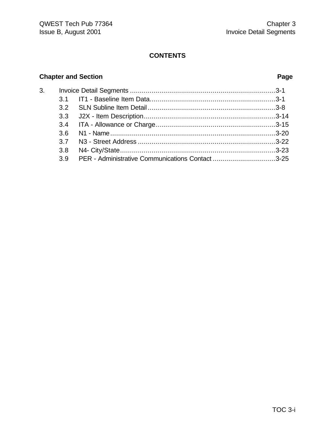# **CONTENTS**

# **Chapter and Section Page**

| 3.8 |                                                  |  |
|-----|--------------------------------------------------|--|
| 3.9 | PER - Administrative Communications Contact 3-25 |  |
|     |                                                  |  |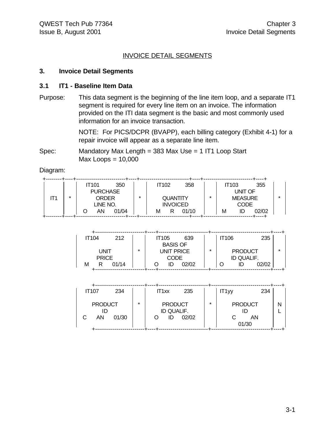#### INVOICE DETAIL SEGMENTS

#### **3. Invoice Detail Segments**

#### **3.1 IT1 - Baseline Item Data**

Purpose: This data segment is the beginning of the line item loop, and a separate IT1 segment is required for every line item on an invoice. The information provided on the ITI data segment is the basic and most commonly used information for an invoice transaction.

> NOTE: For PICS/DCPR (BVAPP), each billing category (Exhibit 4-1) for a repair invoice will appear as a separate line item.

Spec: Mandatory Max Length = 383 Max Use = 1 IT1 Loop Start  $Max$  Loops = 10,000

Diagram:

|         | IT101             |  | 350                        |  |   |   | 358         |                 |   |  | 355   |                |
|---------|-------------------|--|----------------------------|--|---|---|-------------|-----------------|---|--|-------|----------------|
|         | <b>PURCHASE</b>   |  |                            |  |   |   | UNIT OF     |                 |   |  |       |                |
| $\star$ | ORDER<br>LINE NO. |  | $\star$<br><b>QUANTITY</b> |  |   | ÷ |             |                 |   |  |       |                |
|         |                   |  |                            |  |   |   | <b>CODE</b> |                 |   |  |       |                |
|         |                   |  | 01/04                      |  | м |   | 01/10       |                 | M |  | 02/02 |                |
|         |                   |  | AN                         |  |   |   | IT102       | <b>INVOICED</b> |   |  | IT103 | <b>MEASURE</b> |

| 235<br>T106<br>212<br>IT105<br>639<br><b>IT104</b><br><b>BASIS OF</b>                                    |  |
|----------------------------------------------------------------------------------------------------------|--|
| $\star$<br>÷<br><b>PRODUCT</b><br>UNIT<br><b>UNIT PRICE</b><br><b>PRICE</b><br>ID QUALIF.<br><b>CODE</b> |  |
| 02/02<br>01/14<br>02/02<br>м<br>R<br>ID                                                                  |  |

| <b>IT107</b>                        | 234 |         | IT <sub>1xx</sub>                  | 235   |         | IT <sub>1yy</sub> | 234                                 |  |
|-------------------------------------|-----|---------|------------------------------------|-------|---------|-------------------|-------------------------------------|--|
| <b>PRODUCT</b><br>ID<br>01/30<br>AN |     | $\star$ | <b>PRODUCT</b><br>ID QUALIF.<br>ID | 02/02 | $\star$ |                   | <b>PRODUCT</b><br>IC<br>ΑN<br>01/30 |  |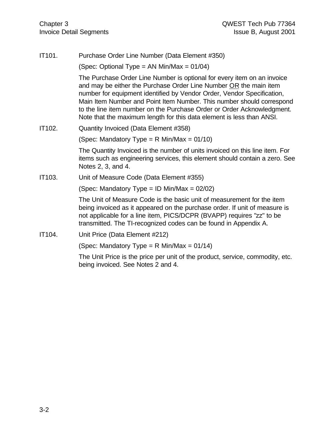IT101. Purchase Order Line Number (Data Element #350)

(Spec: Optional Type = AN Min/Max =  $01/04$ )

The Purchase Order Line Number is optional for every item on an invoice and may be either the Purchase Order Line Number OR the main item number for equipment identified by Vendor Order, Vendor Specification, Main Item Number and Point Item Number. This number should correspond to the line item number on the Purchase Order or Order Acknowledgment. Note that the maximum length for this data element is less than ANSI.

IT102. Quantity Invoiced (Data Element #358)

(Spec: Mandatory Type = R Min/Max =  $01/10$ )

The Quantity Invoiced is the number of units invoiced on this line item. For items such as engineering services, this element should contain a zero. See Notes 2, 3, and 4.

IT103. Unit of Measure Code (Data Element #355)

(Spec: Mandatory Type = ID Min/Max = 02/02)

The Unit of Measure Code is the basic unit of measurement for the item being invoiced as it appeared on the purchase order. If unit of measure is not applicable for a line item, PICS/DCPR (BVAPP) requires "zz" to be transmitted. The TI-recognized codes can be found in Appendix A.

IT104. Unit Price (Data Element #212)

(Spec: Mandatory Type = R Min/Max =  $01/14$ )

The Unit Price is the price per unit of the product, service, commodity, etc. being invoiced. See Notes 2 and 4.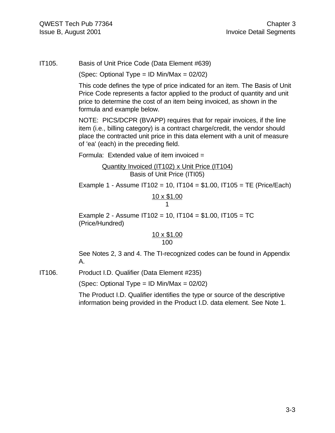IT105. Basis of Unit Price Code (Data Element #639)

(Spec: Optional Type = ID Min/Max = 02/02)

This code defines the type of price indicated for an item. The Basis of Unit Price Code represents a factor applied to the product of quantity and unit price to determine the cost of an item being invoiced, as shown in the formula and example below.

NOTE: PICS/DCPR (BVAPP) requires that for repair invoices, if the line item (i.e., billing category) is a contract charge/credit, the vendor should place the contracted unit price in this data element with a unit of measure of 'ea' (each) in the preceding field.

Formula: Extended value of item invoiced =

Quantity Invoiced (IT102) x Unit Price (IT104) Basis of Unit Price (ITI05)

Example 1 - Assume IT102 = 10, IT104 = \$1.00, IT105 = TE (Price/Each)

$$
\frac{10 \times \$1.00}{1}
$$

Example 2 - Assume  $IT102 = 10$ ,  $IT104 = $1.00$ ,  $IT105 = TC$ (Price/Hundred)

$$
\frac{10 \times \$1.00}{100}
$$

See Notes 2, 3 and 4. The TI-recognized codes can be found in Appendix A.

IT106. Product I.D. Qualifier (Data Element #235)

(Spec: Optional Type = ID Min/Max = 02/02)

The Product I.D. Qualifier identifies the type or source of the descriptive information being provided in the Product I.D. data element. See Note 1.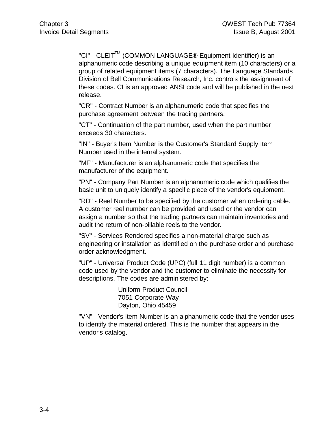"CI" - CLEIT™ (COMMON LANGUAGE® Equipment Identifier) is an alphanumeric code describing a unique equipment item (10 characters) or a group of related equipment items (7 characters). The Language Standards Division of Bell Communications Research, Inc. controls the assignment of these codes. CI is an approved ANSI code and will be published in the next release.

"CR" - Contract Number is an alphanumeric code that specifies the purchase agreement between the trading partners.

"CT" - Continuation of the part number, used when the part number exceeds 30 characters.

"IN" - Buyer's Item Number is the Customer's Standard Supply Item Number used in the internal system.

"MF" - Manufacturer is an alphanumeric code that specifies the manufacturer of the equipment.

"PN" - Company Part Number is an alphanumeric code which qualifies the basic unit to uniquely identify a specific piece of the vendor's equipment.

"RD" - Reel Number to be specified by the customer when ordering cable. A customer reel number can be provided and used or the vendor can assign a number so that the trading partners can maintain inventories and audit the return of non-billable reels to the vendor.

"SV" - Services Rendered specifies a non-material charge such as engineering or installation as identified on the purchase order and purchase order acknowledgment.

"UP" - Universal Product Code (UPC) (full 11 digit number) is a common code used by the vendor and the customer to eliminate the necessity for descriptions. The codes are administered by:

> Uniform Product Council 7051 Corporate Way Dayton, Ohio 45459

"VN" - Vendor's Item Number is an alphanumeric code that the vendor uses to identify the material ordered. This is the number that appears in the vendor's catalog.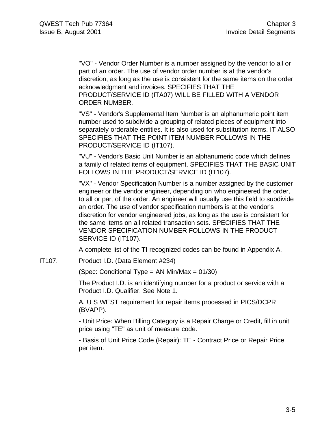"VO" - Vendor Order Number is a number assigned by the vendor to all or part of an order. The use of vendor order number is at the vendor's discretion, as long as the use is consistent for the same items on the order acknowledgment and invoices. SPECIFIES THAT THE PRODUCT/SERVICE ID (ITA07) WILL BE FILLED WITH A VENDOR ORDER NUMBER.

"VS" - Vendor's Supplemental Item Number is an alphanumeric point item number used to subdivide a grouping of related pieces of equipment into separately orderable entities. It is also used for substitution items. IT ALSO SPECIFIES THAT THE POINT ITEM NUMBER FOLLOWS IN THE PRODUCT/SERVICE ID (IT107).

"VU" - Vendor's Basic Unit Number is an alphanumeric code which defines a family of related items of equipment. SPECIFIES THAT THE BASIC UNIT FOLLOWS IN THE PRODUCT/SERVICE ID (IT107).

"VX" - Vendor Specification Number is a number assigned by the customer engineer or the vendor engineer, depending on who engineered the order, to all or part of the order. An engineer will usually use this field to subdivide an order. The use of vendor specification numbers is at the vendor's discretion for vendor engineered jobs, as long as the use is consistent for the same items on all related transaction sets. SPECIFIES THAT THE VENDOR SPECIFICATION NUMBER FOLLOWS IN THE PRODUCT SERVICE ID (IT107).

A complete list of the TI-recognized codes can be found in Appendix A.

IT107. Product I.D. (Data Element #234)

(Spec: Conditional Type = AN Min/Max = 01/30)

The Product I.D. is an identifying number for a product or service with a Product I.D. Qualifier. See Note 1.

A. U S WEST requirement for repair items processed in PICS/DCPR (BVAPP).

- Unit Price: When Billing Category is a Repair Charge or Credit, fill in unit price using "TE" as unit of measure code.

- Basis of Unit Price Code (Repair): TE - Contract Price or Repair Price per item.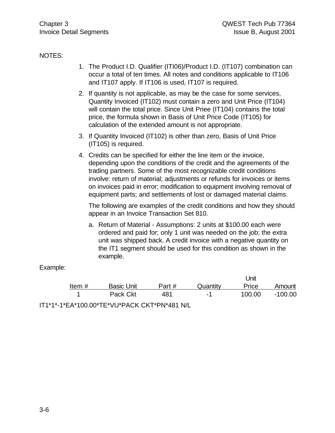#### NOTES:

- 1. The Product I.D. Qualifier (ITI06)/Product I.D. (IT107) combination can occur a total of ten times. All notes and conditions applicable to IT106 and IT107 apply. If IT106 is used, IT107 is required.
- 2. If quantity is not applicable, as may be the case for some services, Quantity Invoiced (IT102) must contain a zero and Unit Price (IT104) will contain the total price. Since Unit Priee (IT104) contains the total price, the formula shown in Basis of Unit Price Code (IT105) for calculation of the extended amount is not appropriate.
- 3. If Quantity Invoiced (IT102) is other than zero, Basis of Unit Price (IT105) is required.
- 4. Credits can be specified for either the line item or the invoice, depending upon the conditions of the credit and the agreements of the trading partners. Some of the most recognizable credit conditions involve: return of material; adjustments or refunds for invoices or items on invoices paid in error; modification to equipment involving removal of equipment parts; and settlements of lost or damaged material claims.

The following are examples of the credit conditions and how they should appear in an Invoice Transaction Set 810.

a. Return of Material - Assumptions: 2 units at \$100.00 each were ordered and paid for; only 1 unit was needed on the job; the extra unit was shipped back. A credit invoice with a negative quantity on the IT1 segment should be used for this condition as shown in the example.

#### Example:

|          |                   |       |          | Unit   |           |
|----------|-------------------|-------|----------|--------|-----------|
| Item $#$ | <b>Basic Unit</b> | Part# | Quantity | Price  | Amount    |
|          | Pack Ckt          | 481   | -1       | 100.00 | $-100.00$ |

IT1\*1\*-1\*EA\*100.00\*TE\*VU\*PACK CKT\*PN\*481 N/L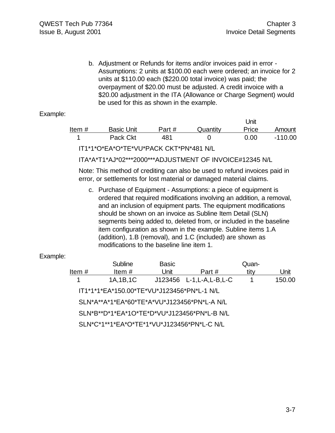b. Adjustment or Refunds for items and/or invoices paid in error - Assumptions: 2 units at \$100.00 each were ordered; an invoice for 2 units at \$110.00 each (\$220.00 total invoice) was paid; the overpayment of \$20.00 must be adjusted. A credit invoice with a \$20.00 adjustment in the ITA (Allowance or Charge Segment) would be used for this as shown in the example.

#### Example:

|          |                   |        |          | Unit  |           |
|----------|-------------------|--------|----------|-------|-----------|
| Item $#$ | <b>Basic Unit</b> | Part # | Quantity | Price | Amount    |
|          | Pack Ckt          | 481    |          | 0.00  | $-110.00$ |

IT1\*1\*O\*EA\*O\*TE\*VU\*PACK CKT\*PN\*481 N/L

ITA\*A\*T1\*AJ\*02\*\*\*2000\*\*\*ADJUSTMENT OF INVOICE#12345 N/L

Note: This method of crediting can also be used to refund invoices paid in error, or settlements for lost material or damaged material claims.

c. Purchase of Equipment - Assumptions: a piece of equipment is ordered that required modifications involving an addition, a removal, and an inclusion of equipment parts. The equipment modifications should be shown on an invoice as Subline Item Detail (SLN) segments being added to, deleted from, or included in the baseline item configuration as shown in the example. Subline items 1.A (addition), 1.B (removal), and 1.C (included) are shown as modifications to the baseline line item 1.

#### Example:

|          | <b>Subline</b>                              | <b>Basic</b> |                            | Quan- |        |
|----------|---------------------------------------------|--------------|----------------------------|-------|--------|
| Item $#$ | Item#                                       | Unit         | Part#                      | tity  | Unit   |
|          | 1A, 1B, 1C                                  |              | J123456 L-1, L-A, L-B, L-C |       | 150.00 |
|          | IT1*1*1*EA*150.00*TE*VU*J123456*PN*L-1 N/L  |              |                            |       |        |
|          | SLN*A**A*1*EA*60*TE*A*VU*J123456*PN*L-A N/L |              |                            |       |        |
|          | SLN*B**D*1*EA*1O*TE*D*VU*J123456*PN*L-B N/L |              |                            |       |        |
|          | SLN*C*1**1*EA*O*TE*1*VU*J123456*PN*L-C N/L  |              |                            |       |        |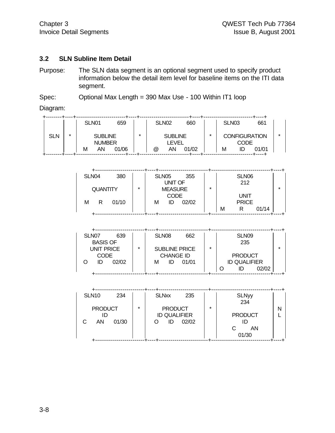#### **3.2 SLN Subline Item Detail**

Purpose: The SLN data segment is an optional segment used to specify product information below the detail item level for baseline items on the ITI data segment.

Spec: Optional Max Length = 390 Max Use - 100 Within IT1 loop

Diagram:

|            |         | SLN <sub>01</sub>               |    | 659     |  |                         | SLN <sub>02</sub> | 660   |  | SLN <sub>03</sub> |                      | 661   |  |
|------------|---------|---------------------------------|----|---------|--|-------------------------|-------------------|-------|--|-------------------|----------------------|-------|--|
| <b>SLN</b> | $\star$ | <b>SUBLINE</b><br><b>NUMBER</b> |    | $\star$ |  | <b>SUBLINE</b><br>LEVEL |                   | ÷     |  | CODE              | <b>CONFIGURATION</b> | ÷     |  |
|            |         | М                               | AN | 01/06   |  | $^{\textregistered}$    | ΑN                | 01/02 |  | М                 | ID                   | 01/01 |  |

| SLN <sub>04</sub> |                 | 380   |         |   | SLN <sub>05</sub> | 355   |         |   | SLN06        |       |   |
|-------------------|-----------------|-------|---------|---|-------------------|-------|---------|---|--------------|-------|---|
|                   |                 |       |         |   | UNIT OF           |       |         |   | 212          |       |   |
|                   | <b>QUANTITY</b> |       | $\star$ |   | <b>MEASURE</b>    |       | $\star$ |   |              |       | * |
|                   |                 |       |         |   | <b>CODE</b>       |       |         |   | <b>UNIT</b>  |       |   |
| М                 | R               | 01/10 |         | М | ID                | 02/02 |         |   | <b>PRICE</b> |       |   |
|                   |                 |       |         |   |                   |       |         | M |              | 01/14 |   |
|                   |                 |       |         |   |                   |       |         |   |              |       |   |

| SLN <sub>07</sub> | 639               |         | SLN <sub>08</sub>    | 662   |         | SLN <sub>09</sub>   |       |  |
|-------------------|-------------------|---------|----------------------|-------|---------|---------------------|-------|--|
|                   | <b>BASIS OF</b>   |         |                      |       |         | 235                 |       |  |
|                   | <b>UNIT PRICE</b> | $\star$ | <b>SUBLINE PRICE</b> |       | $\star$ |                     |       |  |
|                   | <b>CODE</b>       |         | <b>CHANGE ID</b>     |       |         | <b>PRODUCT</b>      |       |  |
|                   | 02/02<br>ID       |         | м<br>ID              | 01/01 |         | <b>ID QUALIFIER</b> |       |  |
|                   |                   |         |                      |       |         | ID                  | 02/02 |  |
|                   |                   |         |                      |       |         |                     |       |  |

| <b>SLN10</b> | 234            |         | <b>SLNxx</b>        | 235   |         | <b>SLNyy</b>   |   |
|--------------|----------------|---------|---------------------|-------|---------|----------------|---|
|              |                |         |                     |       |         | 234            |   |
|              | <b>PRODUCT</b> | $\star$ | <b>PRODUCT</b>      |       | $\star$ |                | N |
|              |                |         | <b>ID QUALIFIER</b> |       |         | <b>PRODUCT</b> |   |
|              | ΑN<br>01/30    |         | ID                  | 02/02 |         | ID             |   |
|              |                |         |                     |       |         | ΑN             |   |
|              |                |         |                     |       |         | 01/30          |   |
|              |                |         |                     |       |         |                |   |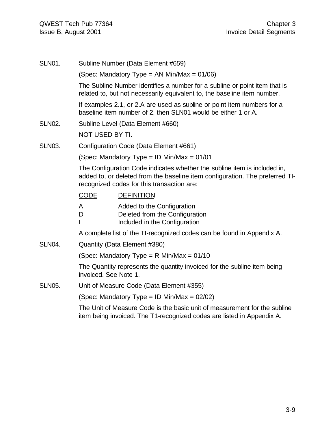| <b>SLN01.</b> | Subline Number (Data Element #659)                                                                                                                                                                      |
|---------------|---------------------------------------------------------------------------------------------------------------------------------------------------------------------------------------------------------|
|               | (Spec: Mandatory Type = AN Min/Max = $01/06$ )                                                                                                                                                          |
|               | The Subline Number identifies a number for a subline or point item that is<br>related to, but not necessarily equivalent to, the baseline item number.                                                  |
|               | If examples 2.1, or 2.A are used as subline or point item numbers for a<br>baseline item number of 2, then SLN01 would be either 1 or A.                                                                |
| <b>SLN02.</b> | Subline Level (Data Element #660)                                                                                                                                                                       |
|               | NOT USED BY TI.                                                                                                                                                                                         |
| <b>SLN03.</b> | Configuration Code (Data Element #661)                                                                                                                                                                  |
|               | (Spec: Mandatory Type = ID Min/Max = 01/01)                                                                                                                                                             |
|               | The Configuration Code indicates whether the subline item is included in,<br>added to, or deleted from the baseline item configuration. The preferred TI-<br>recognized codes for this transaction are: |
|               | <b>CODE</b><br><b>DEFINITION</b>                                                                                                                                                                        |
|               | Added to the Configuration<br>A<br>Deleted from the Configuration<br>D<br>Included in the Configuration                                                                                                 |
|               | A complete list of the TI-recognized codes can be found in Appendix A.                                                                                                                                  |
| SLN04.        | Quantity (Data Element #380)                                                                                                                                                                            |
|               | (Spec: Mandatory Type = $R$ Min/Max = 01/10                                                                                                                                                             |
|               | The Quantity represents the quantity invoiced for the subline item being<br>invoiced. See Note 1.                                                                                                       |
| <b>SLN05.</b> | Unit of Measure Code (Data Element #355)                                                                                                                                                                |
|               | (Spec: Mandatory Type = ID Min/Max = $02/02$ )                                                                                                                                                          |
|               | The Unit of Measure Code is the basic unit of measurement for the subline<br>item being invoiced. The T1-recognized codes are listed in Appendix A.                                                     |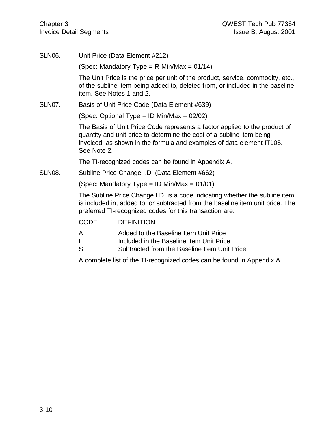| SLN <sub>06</sub> . |                          | Unit Price (Data Element #212)                                                                                                                                                                                               |
|---------------------|--------------------------|------------------------------------------------------------------------------------------------------------------------------------------------------------------------------------------------------------------------------|
|                     |                          | (Spec: Mandatory Type = $R$ Min/Max = 01/14)                                                                                                                                                                                 |
|                     | item. See Notes 1 and 2. | The Unit Price is the price per unit of the product, service, commodity, etc.,<br>of the subline item being added to, deleted from, or included in the baseline                                                              |
| SLN07.              |                          | Basis of Unit Price Code (Data Element #639)                                                                                                                                                                                 |
|                     |                          | (Spec: Optional Type = ID Min/Max = $02/02$ )                                                                                                                                                                                |
|                     | See Note 2.              | The Basis of Unit Price Code represents a factor applied to the product of<br>quantity and unit price to determine the cost of a subline item being<br>invoiced, as shown in the formula and examples of data element IT105. |
|                     |                          | The TI-recognized codes can be found in Appendix A.                                                                                                                                                                          |
| <b>SLN08.</b>       |                          | Subline Price Change I.D. (Data Element #662)                                                                                                                                                                                |
|                     |                          | (Spec: Mandatory Type = ID Min/Max = $01/01$ )                                                                                                                                                                               |
|                     |                          | The Subline Price Change I.D. is a code indicating whether the subline item<br>is included in, added to, or subtracted from the baseline item unit price. The<br>preferred TI-recognized codes for this transaction are:     |
|                     | <b>CODE</b>              | <b>DEFINITION</b>                                                                                                                                                                                                            |
|                     | A<br>S                   | Added to the Baseline Item Unit Price<br>Included in the Baseline Item Unit Price<br>Subtracted from the Baseline Item Unit Price                                                                                            |
|                     |                          | A complete list of the TI-recognized codes can be found in Appendix A.                                                                                                                                                       |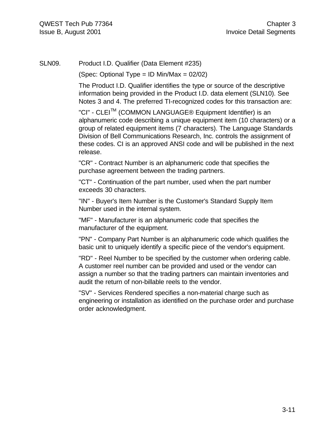SLN09. Product I.D. Qualifier (Data Element #235)

(Spec: Optional Type = ID Min/Max = 02/02)

The Product I.D. Qualifier identifies the type or source of the descriptive information being provided in the Product I.D. data element (SLN10). See Notes 3 and 4. The preferred TI-recognized codes for this transaction are:

"CI" - CLEITM (COMMON LANGUAGE® Equipment Identifier) is an alphanumeric code describing a unique equipment item (10 characters) or a group of related equipment items (7 characters). The Language Standards Division of Bell Communications Research, Inc. controls the assignment of these codes. CI is an approved ANSI code and will be published in the next release.

"CR" - Contract Number is an alphanumeric code that specifies the purchase agreement between the trading partners.

"CT" - Continuation of the part number, used when the part number exceeds 30 characters.

"IN" - Buyer's Item Number is the Customer's Standard Supply Item Number used in the internal system.

"MF" - Manufacturer is an alphanumeric code that specifies the manufacturer of the equipment.

"PN" - Company Part Number is an alphanumeric code which qualifies the basic unit to uniquely identify a specific piece of the vendor's equipment.

"RD" - Reel Number to be specified by the customer when ordering cable. A customer reel number can be provided and used or the vendor can assign a number so that the trading partners can maintain inventories and audit the return of non-billable reels to the vendor.

"SV" - Services Rendered specifies a non-material charge such as engineering or installation as identified on the purchase order and purchase order acknowledgment.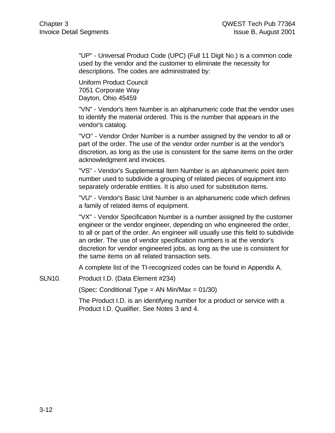"UP" - Universal Product Code (UPC) (Full 11 Digit No.) is a common code used by the vendor and the customer to eliminate the necessity for descriptions. The codes are administrated by:

Uniform Product Council 7051 Corporate Way Dayton, Ohio 45459

"VN" - Vendor's Item Number is an alphanumeric code that the vendor uses to identify the material ordered. This is the number that appears in the vendor's catalog.

"VO" - Vendor Order Number is a number assigned by the vendor to all or part of the order. The use of the vendor order number is at the vendor's discretion, as long as the use is consistent for the same items on the order acknowledgment and invoices.

"VS" - Vendor's Supplemental Item Number is an alphanumeric point item number used to subdivide a grouping of related pieces of equipment into separately orderable entities. It is also used for substitution items.

"VU" - Vendor's Basic Unit Number is an alphanumeric code which defines a family of related items of equipment.

"VX" - Vendor Specification Number is a number assigned by the customer engineer or the vendor engineer, depending on who engineered the order, to all or part of the order. An engineer will usually use this field to subdivide an order. The use of vendor specification numbers is at the vendor's discretion for vendor engineered jobs, as long as the use is consistent for the same items on all related transaction sets.

A complete list of the TI-recognized codes can be found in Appendix A.

SLN10. Product I.D. (Data Element #234)

(Spec: Conditional Type = AN Min/Max = 01/30)

The Product I.D. is an identifying number for a product or service with a Product I.D. Qualifier. See Notes 3 and 4.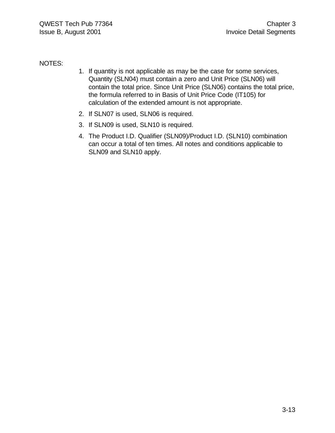NOTES:

- 1. If quantity is not applicable as may be the case for some services, Quantity (SLN04) must contain a zero and Unit Price (SLN06) will contain the total price. Since Unit Price (SLN06) contains the total price, the formula referred to in Basis of Unit Price Code (IT105) for calculation of the extended amount is not appropriate.
- 2. If SLN07 is used, SLN06 is required.
- 3. If SLN09 is used, SLN10 is required.
- 4. The Product I.D. Qualifier (SLN09)/Product I.D. (SLN10) combination can occur a total of ten times. All notes and conditions applicable to SLN09 and SLN10 apply.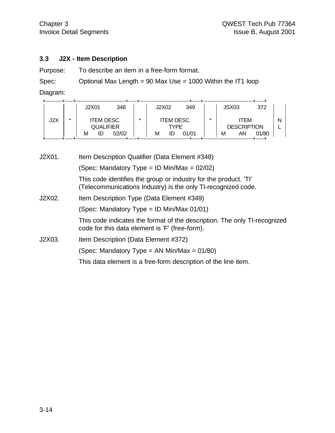#### **3.3 J2X - Item Description**

Purpose: To describe an item in a free-form format.

Spec: Optional Max Length = 90 Max Use = 1000 Within the IT1 loop

Diagram:

|     |         | J2X01                                            | 348   |   | J2X02 |                                 | 349   |   | JSX03 |                                  | 372   |   |
|-----|---------|--------------------------------------------------|-------|---|-------|---------------------------------|-------|---|-------|----------------------------------|-------|---|
| J2X | $\star$ | <b>ITEM DESC.</b><br><b>QUALIFIER</b><br>ID<br>М | 02/02 | ÷ | м     | <b>ITEM DESC.</b><br>TYPE<br>IC | 01/01 | ÷ | М     | ITEM<br><b>DESCRIPTION</b><br>ΑN | 01/80 | N |
|     |         |                                                  |       |   |       |                                 |       |   |       |                                  |       |   |

J2X01. Item Description Qualifier (Data Element #348) (Spec: Mandatory Type = ID Min/Max =  $02/02$ ) This code identifies the group or industry for the product. 'TI' (Telecommunications Industry) is the only TI-recognized code. J2X02. Item Description Type (Data Element #349) (Spec: Mandatory Type = ID Min/Max 01/01) This code indicates the format of the description. The only TI-recognized code for this data element is 'F' (free-form). J2X03. Item Description (Data Element #372) (Spec: Mandatory Type = AN Min/Max = 01/80) This data element is a free-form description of the line item.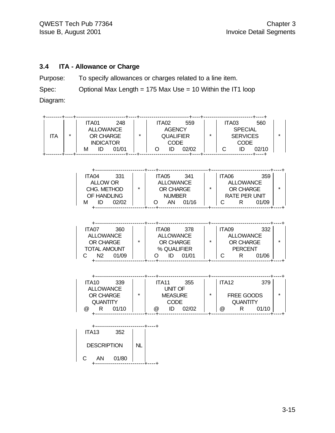#### **3.4 ITA - Allowance or Charge**

Purpose: To specify allowances or charges related to a line item.

Spec: Optional Max Length = 175 Max Use = 10 Within the IT1 loop

Diagram:

|                             |  | ITA01                           | 248              |                  |  | ITA02 | 559   |                 | ITA03 |      | 560   |  |
|-----------------------------|--|---------------------------------|------------------|------------------|--|-------|-------|-----------------|-------|------|-------|--|
| <b>ALLOWANCE</b><br>$\star$ |  | <b>AGENCY</b><br><b>SPECIAL</b> |                  |                  |  |       |       |                 |       |      |       |  |
| OR CHARGE<br>'TA            |  | $\star$                         |                  | <b>QUALIFIER</b> |  | ÷     |       | <b>SERVICES</b> |       |      |       |  |
|                             |  |                                 | <b>INDICATOR</b> |                  |  | CODE  |       |                 |       | CODE |       |  |
|                             |  | м<br>IL                         | 01/01            |                  |  | ID    | 02/02 |                 |       |      | 02/10 |  |
|                             |  |                                 |                  |                  |  |       |       |                 |       |      |       |  |

| 331<br>ITA <sub>04</sub><br><b>ALLOW OR</b><br>CHG. METHOD<br>OF HANDLING<br>02/02<br>М | ÷ | ITA05<br><b>ALLOWANCE</b><br>OR CHARGE<br><b>NUMBER</b><br>ΑN | 341<br>01/16 | ITA06 | <b>ALLOWANCE</b><br>OR CHARGE<br><b>RATE PER UNIT</b> | 359<br>01/09 |  |
|-----------------------------------------------------------------------------------------|---|---------------------------------------------------------------|--------------|-------|-------------------------------------------------------|--------------|--|
|                                                                                         |   |                                                               |              |       |                                                       |              |  |

| 360<br>ITA07<br><b>ALLOWANCE</b><br>OR CHARGE<br><b>TOTAL AMOUNT</b><br>N <sub>2</sub><br>01/09 | ITA08<br>378<br><b>ALLOWANCE</b><br>OR CHARGE<br>% QUALIFIER<br>01/01 | $\star$ | ITA09<br><b>ALLOWANCE</b><br>OR CHARGE<br><b>PERCENT</b> | 332<br>01/06 |  |
|-------------------------------------------------------------------------------------------------|-----------------------------------------------------------------------|---------|----------------------------------------------------------|--------------|--|
|                                                                                                 |                                                                       |         |                                                          |              |  |

| ITA <sub>10</sub><br>339      |   | ITA11<br>355     |         | <b>ITA12</b>              | 379   |         |
|-------------------------------|---|------------------|---------|---------------------------|-------|---------|
| <b>ALLOWANCE</b>              |   | UNIT OF          |         |                           |       |         |
| OR CHARGE                     | ÷ | <b>MEASURE</b>   | $\star$ | FREE GOODS                |       | $\star$ |
| <b>QUANTITY</b>               |   | <b>CODE</b>      |         | <b>QUANTITY</b>           |       |         |
| 01/10<br>$^{\textregistered}$ |   | 02/02<br>@<br>ID |         | $^\text{\textregistered}$ | 01/10 |         |
|                               |   |                  |         |                           |       |         |

|             |    | 352               |                    |  |
|-------------|----|-------------------|--------------------|--|
|             |    |                   | ΝI                 |  |
| $\mathbf C$ | AN | 01/80             |                    |  |
|             |    | ITA <sub>13</sub> | <b>DESCRIPTION</b> |  |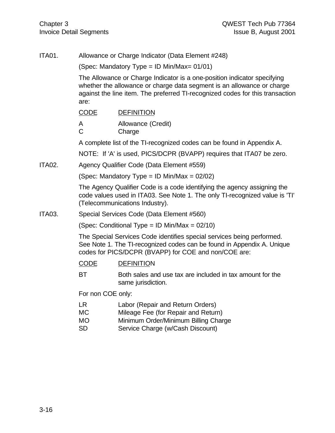ITA01. Allowance or Charge Indicator (Data Element #248)

(Spec: Mandatory Type = ID Min/Max= 01/01)

The Allowance or Charge Indicator is a one-position indicator specifying whether the allowance or charge data segment is an allowance or charge against the line item. The preferred TI-recognized codes for this transaction are:

#### CODE DEFINITION

- A Allowance (Credit)
- C Charge

A complete list of the TI-recognized codes can be found in Appendix A.

NOTE: If 'A' is used, PICS/DCPR (BVAPP) requires that ITA07 be zero.

ITA02. Agency Qualifier Code (Data Element #559)

(Spec: Mandatory Type = ID Min/Max = 02/02)

The Agency Qualifier Code is a code identifying the agency assigning the code values used in ITA03. See Note 1. The only TI-recognized value is 'TI' (Telecommunications Industry).

ITA03. Special Services Code (Data Element #560)

(Spec: Conditional Type = ID Min/Max = 02/10)

The Special Services Code identifies special services being performed. See Note 1. The TI-recognized codes can be found in Appendix A. Unique codes for PICS/DCPR (BVAPP) for COE and non/COE are:

- CODE DEFINITION
- BT Both sales and use tax are included in tax amount for the same jurisdiction.

For non COE only:

- LR Labor (Repair and Return Orders)
- MC Mileage Fee (for Repair and Return)
- MO Minimum Order/Minimum Billing Charge
- SD Service Charge (w/Cash Discount)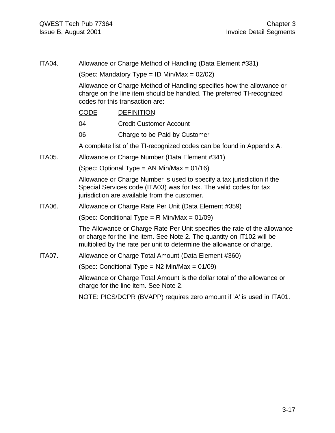ITA04. Allowance or Charge Method of Handling (Data Element #331)

(Spec: Mandatory Type = ID Min/Max = 02/02)

Allowance or Charge Method of Handling specifies how the allowance or charge on the line item should be handled. The preferred TI-recognized codes for this transaction are:

|        | <b>CODE</b>                                                                                                                                                                                    | <b>DEFINITION</b>                                                                                                                                                                                                            |  |  |  |  |  |  |
|--------|------------------------------------------------------------------------------------------------------------------------------------------------------------------------------------------------|------------------------------------------------------------------------------------------------------------------------------------------------------------------------------------------------------------------------------|--|--|--|--|--|--|
|        | 04                                                                                                                                                                                             | <b>Credit Customer Account</b>                                                                                                                                                                                               |  |  |  |  |  |  |
|        | 06                                                                                                                                                                                             | Charge to be Paid by Customer                                                                                                                                                                                                |  |  |  |  |  |  |
|        |                                                                                                                                                                                                | A complete list of the TI-recognized codes can be found in Appendix A.                                                                                                                                                       |  |  |  |  |  |  |
| ITA05. |                                                                                                                                                                                                | Allowance or Charge Number (Data Element #341)                                                                                                                                                                               |  |  |  |  |  |  |
|        |                                                                                                                                                                                                | (Spec: Optional Type = AN Min/Max = $01/16$ )                                                                                                                                                                                |  |  |  |  |  |  |
|        | Allowance or Charge Number is used to specify a tax jurisdiction if the<br>Special Services code (ITA03) was for tax. The valid codes for tax<br>jurisdiction are available from the customer. |                                                                                                                                                                                                                              |  |  |  |  |  |  |
| ITA06. |                                                                                                                                                                                                | Allowance or Charge Rate Per Unit (Data Element #359)                                                                                                                                                                        |  |  |  |  |  |  |
|        |                                                                                                                                                                                                | (Spec: Conditional Type = $R$ Min/Max = 01/09)                                                                                                                                                                               |  |  |  |  |  |  |
|        |                                                                                                                                                                                                | The Allowance or Charge Rate Per Unit specifies the rate of the allowance<br>or charge for the line item. See Note 2. The quantity on IT102 will be<br>multiplied by the rate per unit to determine the allowance or charge. |  |  |  |  |  |  |
| ITA07. |                                                                                                                                                                                                | Allowance or Charge Total Amount (Data Element #360)                                                                                                                                                                         |  |  |  |  |  |  |
|        |                                                                                                                                                                                                | (Spec: Conditional Type = $N2$ Min/Max = 01/09)                                                                                                                                                                              |  |  |  |  |  |  |
|        |                                                                                                                                                                                                | Allowance or Charge Total Amount is the dollar total of the allowance or<br>charge for the line item. See Note 2.                                                                                                            |  |  |  |  |  |  |
|        |                                                                                                                                                                                                | NOTE: PICS/DCPR (BVAPP) requires zero amount if 'A' is used in ITA01.                                                                                                                                                        |  |  |  |  |  |  |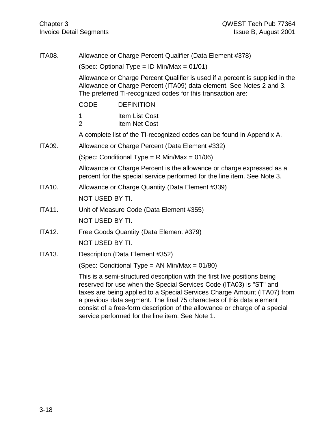| <b>ITA08.</b> | Allowance or Charge Percent Qualifier (Data Element #378)                                                                                                                                                                                                                                                                                                                                                                               |  |  |  |  |  |  |  |  |
|---------------|-----------------------------------------------------------------------------------------------------------------------------------------------------------------------------------------------------------------------------------------------------------------------------------------------------------------------------------------------------------------------------------------------------------------------------------------|--|--|--|--|--|--|--|--|
|               | (Spec: Optional Type = ID Min/Max = 01/01)                                                                                                                                                                                                                                                                                                                                                                                              |  |  |  |  |  |  |  |  |
|               | Allowance or Charge Percent Qualifier is used if a percent is supplied in the<br>Allowance or Charge Percent (ITA09) data element. See Notes 2 and 3.<br>The preferred TI-recognized codes for this transaction are:                                                                                                                                                                                                                    |  |  |  |  |  |  |  |  |
|               | <b>CODE</b><br><b>DEFINITION</b>                                                                                                                                                                                                                                                                                                                                                                                                        |  |  |  |  |  |  |  |  |
|               | $\mathbf{1}$<br><b>Item List Cost</b><br>$\overline{2}$<br><b>Item Net Cost</b>                                                                                                                                                                                                                                                                                                                                                         |  |  |  |  |  |  |  |  |
|               | A complete list of the TI-recognized codes can be found in Appendix A.                                                                                                                                                                                                                                                                                                                                                                  |  |  |  |  |  |  |  |  |
| <b>ITA09.</b> | Allowance or Charge Percent (Data Element #332)                                                                                                                                                                                                                                                                                                                                                                                         |  |  |  |  |  |  |  |  |
|               | (Spec: Conditional Type = R Min/Max = 01/06)                                                                                                                                                                                                                                                                                                                                                                                            |  |  |  |  |  |  |  |  |
|               | Allowance or Charge Percent is the allowance or charge expressed as a<br>percent for the special service performed for the line item. See Note 3.                                                                                                                                                                                                                                                                                       |  |  |  |  |  |  |  |  |
| <b>ITA10.</b> | Allowance or Charge Quantity (Data Element #339)                                                                                                                                                                                                                                                                                                                                                                                        |  |  |  |  |  |  |  |  |
|               | NOT USED BY TI.                                                                                                                                                                                                                                                                                                                                                                                                                         |  |  |  |  |  |  |  |  |
| <b>ITA11.</b> | Unit of Measure Code (Data Element #355)                                                                                                                                                                                                                                                                                                                                                                                                |  |  |  |  |  |  |  |  |
|               | NOT USED BY TI.                                                                                                                                                                                                                                                                                                                                                                                                                         |  |  |  |  |  |  |  |  |
| <b>ITA12.</b> | Free Goods Quantity (Data Element #379)                                                                                                                                                                                                                                                                                                                                                                                                 |  |  |  |  |  |  |  |  |
|               | NOT USED BY TI.                                                                                                                                                                                                                                                                                                                                                                                                                         |  |  |  |  |  |  |  |  |
| <b>ITA13.</b> | Description (Data Element #352)                                                                                                                                                                                                                                                                                                                                                                                                         |  |  |  |  |  |  |  |  |
|               | (Spec: Conditional Type = AN Min/Max = $01/80$ )                                                                                                                                                                                                                                                                                                                                                                                        |  |  |  |  |  |  |  |  |
|               | This is a semi-structured description with the first five positions being<br>reserved for use when the Special Services Code (ITA03) is "ST" and<br>taxes are being applied to a Special Services Charge Amount (ITA07) from<br>a previous data segment. The final 75 characters of this data element<br>consist of a free-form description of the allowance or charge of a special<br>service performed for the line item. See Note 1. |  |  |  |  |  |  |  |  |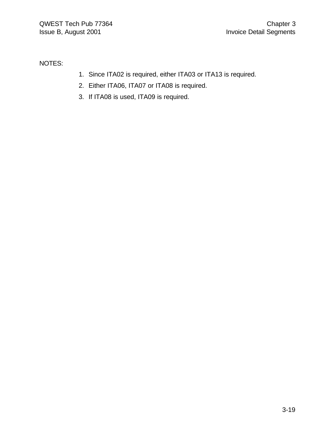#### NOTES:

- 1. Since ITA02 is required, either ITA03 or ITA13 is required.
- 2. Either ITA06, ITA07 or ITA08 is required.
- 3. If ITA08 is used, ITA09 is required.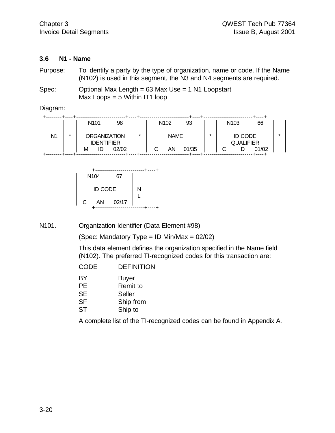#### **3.6 N1 - Name**

Purpose: To identify a party by the type of organization, name or code. If the Name (N102) is used in this segment, the N3 and N4 segments are required.

Spec: Optional Max Length = 63 Max Use = 1 N1 Loopstart Max Loops = 5 Within IT1 loop

Diagram:

|    |         | N <sub>101</sub>    | 98    |         | N <sub>102</sub> | 93    |   | N <sub>103</sub> |                  | 66    |  |
|----|---------|---------------------|-------|---------|------------------|-------|---|------------------|------------------|-------|--|
| N1 | $\star$ | <b>ORGANIZATION</b> |       | $\star$ | <b>NAME</b>      |       | ÷ |                  | <b>ID CODE</b>   |       |  |
|    |         | <b>IDENTIFIER</b>   |       |         |                  |       |   |                  | <b>QUALIFIER</b> |       |  |
|    |         | ID<br>М             | 02/02 |         | AN               | 01/35 |   |                  | ID               | 01/02 |  |
|    |         |                     |       |         |                  |       |   |                  |                  |       |  |



N101. Organization Identifier (Data Element #98)

(Spec: Mandatory Type = ID Min/Max = 02/02)

This data element defines the organization specified in the Name field (N102). The preferred TI-recognized codes for this transaction are:

| CODE      | <b>DEFINITION</b> |
|-----------|-------------------|
| BY        | <b>Buyer</b>      |
| PE        | <b>Remit to</b>   |
| <b>SE</b> | Seller            |
| <b>SF</b> | Ship from         |
| ST        | Ship to           |
|           |                   |

A complete list of the TI-recognized codes can be found in Appendix A.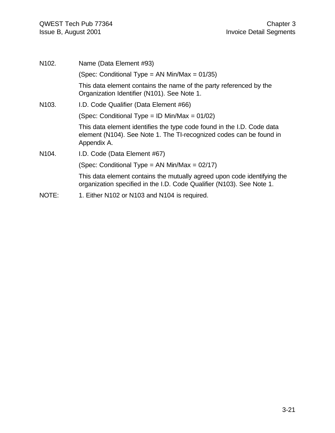| N <sub>102</sub> . | Name (Data Element #93)                                                                                                                                      |
|--------------------|--------------------------------------------------------------------------------------------------------------------------------------------------------------|
|                    | (Spec: Conditional Type = AN Min/Max = $01/35$ )                                                                                                             |
|                    | This data element contains the name of the party referenced by the<br>Organization Identifier (N101). See Note 1.                                            |
| N <sub>103</sub> . | I.D. Code Qualifier (Data Element #66)                                                                                                                       |
|                    | (Spec: Conditional Type = ID Min/Max = $01/02$ )                                                                                                             |
|                    | This data element identifies the type code found in the I.D. Code data<br>element (N104). See Note 1. The TI-recognized codes can be found in<br>Appendix A. |
| N104.              | I.D. Code (Data Element #67)                                                                                                                                 |
|                    | (Spec: Conditional Type = AN Min/Max = 02/17)                                                                                                                |
|                    | This data element contains the mutually agreed upon code identifying the<br>organization specified in the I.D. Code Qualifier (N103). See Note 1.            |
| NOTE:              | 1. Either N102 or N103 and N104 is required.                                                                                                                 |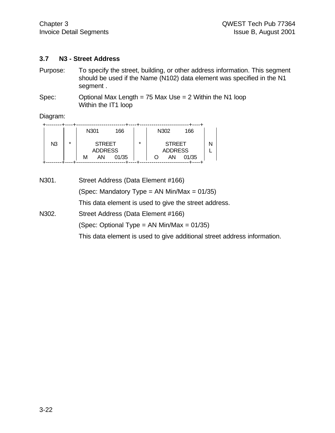#### **3.7 N3 - Street Address**

- Purpose: To specify the street, building, or other address information. This segment should be used if the Name (N102) data element was specified in the N1 segment .
- Spec: Optional Max Length = 75 Max Use = 2 Within the N1 loop Within the IT1 loop

Diagram:

|    |         | N301 |                | 166   |         | N302           | 166   |  |
|----|---------|------|----------------|-------|---------|----------------|-------|--|
|    | $\star$ |      |                |       | $\star$ |                |       |  |
| N3 |         |      | <b>STREET</b>  |       |         | <b>STREET</b>  |       |  |
|    |         |      | <b>ADDRESS</b> |       |         | <b>ADDRESS</b> |       |  |
|    |         | м    | AN             | 01/35 |         | AN             | 01/35 |  |
|    |         |      |                |       |         |                |       |  |

N301. Street Address (Data Element #166) (Spec: Mandatory Type = AN Min/Max = 01/35) This data element is used to give the street address. N302. Street Address (Data Element #166) (Spec: Optional Type = AN Min/Max = 01/35) This data element is used to give additional street address information.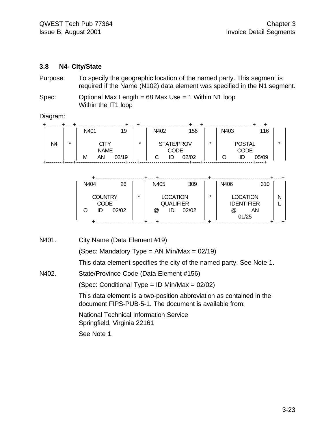#### **3.8 N4- City/State**

- Purpose: To specify the geographic location of the named party. This segment is required if the Name (N102) data element was specified in the N1 segment.
- Spec: Optional Max Length = 68 Max Use = 1 Within N1 loop Within the IT1 loop

#### Diagram:

|    |         | N401 |             | 19    |         | N402 |      | 156        |   | N403 |               | 116   |  |
|----|---------|------|-------------|-------|---------|------|------|------------|---|------|---------------|-------|--|
| N4 | $\star$ |      | CITY        |       | $\star$ |      |      | STATE/PROV | ÷ |      | <b>POSTAL</b> |       |  |
|    |         |      | <b>NAME</b> |       |         |      | CODE |            |   |      | <b>CODE</b>   |       |  |
|    |         | м    | AN          | 02/19 |         |      | ID   | 02/02      |   |      |               | 05/09 |  |

| N404                                | 26    |         | N405                                                              | 309   |         | N406 | 310                                                 |   |
|-------------------------------------|-------|---------|-------------------------------------------------------------------|-------|---------|------|-----------------------------------------------------|---|
| <b>COUNTRY</b><br><b>CODE</b><br>ID | 02/02 | $\star$ | <b>LOCATION</b><br><b>QUALIFIER</b><br>ID<br>$^{\textregistered}$ | 02/02 | $\star$ | @    | <b>LOCATION</b><br><b>IDENTIFIER</b><br>AN<br>01/25 | N |

N401. City Name (Data Element #19)

(Spec: Mandatory Type = AN Min/Max =  $02/19$ )

This data element specifies the city of the named party. See Note 1.

N402. State/Province Code (Data Element #156)

(Spec: Conditional Type = ID Min/Max = 02/02)

This data element is a two-position abbreviation as contained in the document FIPS-PUB-5-1. The document is available from:

National Technical Information Service Springfield, Virginia 22161

See Note 1.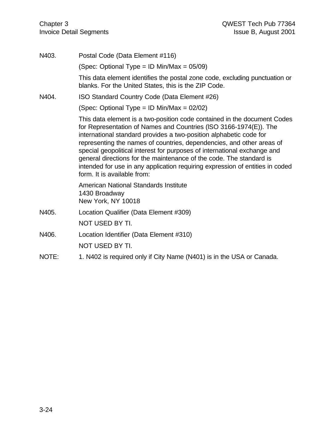| N403. | Postal Code (Data Element #116)                                                                                                                                                                                                                                                                                                                                                                                                                                                                                                                                 |
|-------|-----------------------------------------------------------------------------------------------------------------------------------------------------------------------------------------------------------------------------------------------------------------------------------------------------------------------------------------------------------------------------------------------------------------------------------------------------------------------------------------------------------------------------------------------------------------|
|       | (Spec: Optional Type = ID Min/Max = $05/09$ )                                                                                                                                                                                                                                                                                                                                                                                                                                                                                                                   |
|       | This data element identifies the postal zone code, excluding punctuation or<br>blanks. For the United States, this is the ZIP Code.                                                                                                                                                                                                                                                                                                                                                                                                                             |
| N404. | ISO Standard Country Code (Data Element #26)                                                                                                                                                                                                                                                                                                                                                                                                                                                                                                                    |
|       | (Spec: Optional Type = ID Min/Max = $02/02$ )                                                                                                                                                                                                                                                                                                                                                                                                                                                                                                                   |
|       | This data element is a two-position code contained in the document Codes<br>for Representation of Names and Countries (ISO 3166-1974(E)). The<br>international standard provides a two-position alphabetic code for<br>representing the names of countries, dependencies, and other areas of<br>special geopolitical interest for purposes of international exchange and<br>general directions for the maintenance of the code. The standard is<br>intended for use in any application requiring expression of entities in coded<br>form. It is available from: |
|       | American National Standards Institute<br>1430 Broadway<br>New York, NY 10018                                                                                                                                                                                                                                                                                                                                                                                                                                                                                    |
| N405. | Location Qualifier (Data Element #309)                                                                                                                                                                                                                                                                                                                                                                                                                                                                                                                          |
|       | NOT USED BY TI.                                                                                                                                                                                                                                                                                                                                                                                                                                                                                                                                                 |
| N406. | Location Identifier (Data Element #310)                                                                                                                                                                                                                                                                                                                                                                                                                                                                                                                         |
|       | NOT USED BY TI.                                                                                                                                                                                                                                                                                                                                                                                                                                                                                                                                                 |
| NOTE: | 1. N402 is required only if City Name (N401) is in the USA or Canada.                                                                                                                                                                                                                                                                                                                                                                                                                                                                                           |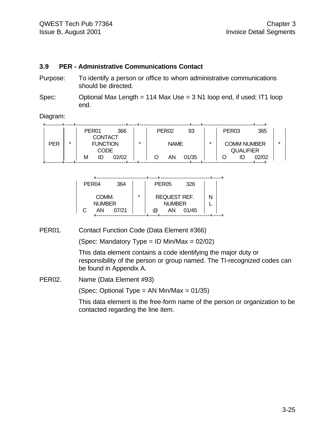#### **3.9 PER - Administrative Communications Contact**

- Purpose: To identify a person or office to whom administrative communications should be directed.
- Spec: Optional Max Length = 114 Max Use = 3 N1 loop end, if used; IT1 loop end.

Diagram:

|     |         | PER <sub>01</sub> | 366   |             | PER <sub>02</sub> | 93    |  | PER <sub>03</sub> |                    | 365     |  |
|-----|---------|-------------------|-------|-------------|-------------------|-------|--|-------------------|--------------------|---------|--|
|     |         | <b>CONTACT</b>    |       |             |                   |       |  |                   |                    |         |  |
| PER | $\star$ | <b>FUNCTION</b>   | *     | <b>NAME</b> |                   | *     |  |                   | <b>COMM NUMBER</b> | $\star$ |  |
|     |         | CODE              |       |             |                   |       |  |                   | <b>QUALIFIER</b>   |         |  |
|     |         | ID<br>м           | 02/02 |             | ΑN                | 01/35 |  |                   |                    | 02/02   |  |
|     |         |                   |       |             |                   |       |  |                   |                    |         |  |

| PER <sub>04</sub> | 364           |         | PER <sub>05</sub>          | 326   |  |
|-------------------|---------------|---------|----------------------------|-------|--|
|                   |               |         |                            |       |  |
| COMM.             |               | $\star$ | <b>REQUEST REF.</b>        |       |  |
|                   |               |         |                            |       |  |
|                   | <b>NUMBER</b> |         | <b>NUMBER</b>              |       |  |
| AN                | 07/21         |         | $^{\textregistered}$<br>ΑN | 01/45 |  |
|                   |               |         |                            |       |  |

#### PER01. Contact Function Code (Data Element #366)

(Spec: Mandatory Type = ID Min/Max = 02/02)

This data element contains a code identifying the major duty or responsibility of the person or group named. The TI-recognized codes can be found in Appendix A.

PER02. Name (Data Element #93)

(Spec: Optional Type = AN Min/Max = 01/35)

This data element is the free-form name of the person or organization to be contacted regarding the line item.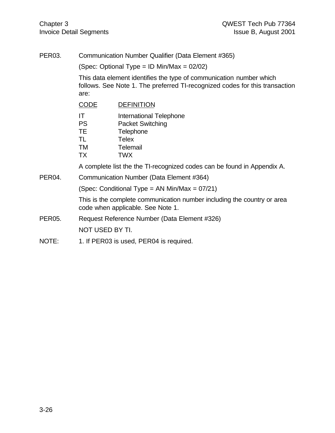PER03. Communication Number Qualifier (Data Element #365) (Spec: Optional Type = ID Min/Max = 02/02) This data element identifies the type of communication number which follows. See Note 1. The preferred TI-recognized codes for this transaction are: CODE DEFINITION IT International Telephone PS Packet Switching TE Telephone TL Telex TM Telemail TX TWX A complete list the the TI-recognized codes can be found in Appendix A. PER04. Communication Number (Data Element #364) (Spec: Conditional Type = AN Min/Max = 07/21) This is the complete communication number including the country or area code when applicable. See Note 1. PER05. Request Reference Number (Data Element #326) NOT USED BY TI. NOTE: 1. If PER03 is used, PER04 is required.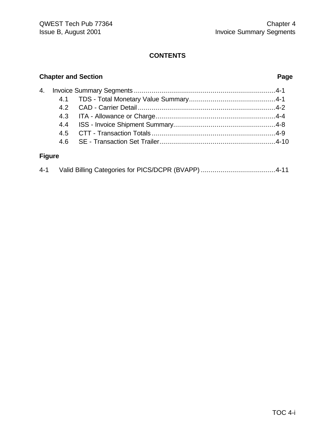# **CONTENTS**

# **Chapter and Section Page**

# **Figure**

| $4 - 1$ |  |
|---------|--|
|         |  |
|         |  |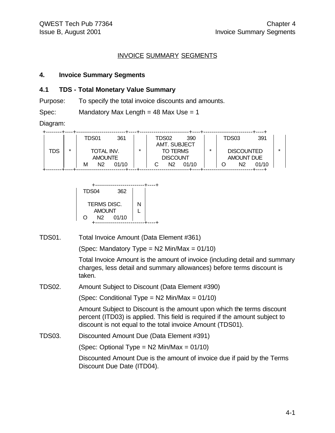#### INVOICE SUMMARY SEGMENTS

#### **4. Invoice Summary Segments**

#### **4.1 TDS - Total Monetary Value Summary**

Purpose: To specify the total invoice discounts and amounts.

Spec: Mandatory Max Length = 48 Max Use = 1

Diagram:

|     |   | TDS01             | 361     |                 | TDS02          | 390          |  | TDS03             |    | 391   |  |
|-----|---|-------------------|---------|-----------------|----------------|--------------|--|-------------------|----|-------|--|
|     |   |                   |         |                 |                | AMT. SUBJECT |  |                   |    |       |  |
| ГDS | ÷ | <b>TOTAL INV.</b> | $\star$ | <b>TO TERMS</b> |                |              |  | <b>DISCOUNTED</b> |    | *     |  |
|     |   | <b>AMOUNTE</b>    |         | <b>DISCOUNT</b> |                |              |  | <b>AMOUNT DUE</b> |    |       |  |
|     |   | Ν2<br>М           | 01/10   |                 | N <sub>2</sub> | 01/10        |  |                   | N2 | 01/10 |  |
|     |   |                   |         |                 |                |              |  |                   |    |       |  |



TDS01. Total Invoice Amount (Data Element #361)

(Spec: Mandatory Type =  $N2$  Min/Max = 01/10)

Total Invoice Amount is the amount of invoice (including detail and summary charges, less detail and summary allowances) before terms discount is taken.

#### TDS02. Amount Subject to Discount (Data Element #390)

(Spec: Conditional Type =  $N2$  Min/Max = 01/10)

Amount Subject to Discount is the amount upon which the terms discount percent (ITD03) is applied. This field is required if the amount subject to discount is not equal to the total invoice Amount (TDS01).

TDS03. Discounted Amount Due (Data Element #391)

(Spec: Optional Type =  $N2$  Min/Max = 01/10)

Discounted Amount Due is the amount of invoice due if paid by the Terms Discount Due Date (ITD04).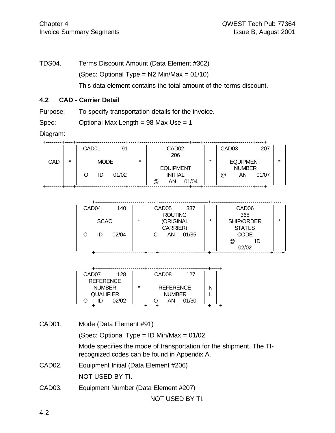TDS04. Terms Discount Amount (Data Element #362) (Spec: Optional Type = N2 Min/Max = 01/10) This data element contains the total amount of the terms discount.

### **4.2 CAD - Carrier Detail**

Purpose: To specify transportation details for the invoice.

Spec: Optional Max Length = 98 Max Use = 1

Diagram:

|     |         | CAD <sub>01</sub> |             | 91    |                  | CAD <sub>02</sub><br>206 |   | CAD <sub>03</sub> |                  | 207   |  |
|-----|---------|-------------------|-------------|-------|------------------|--------------------------|---|-------------------|------------------|-------|--|
| CAD | $\star$ |                   | <b>MODE</b> |       | $\star$          |                          | * |                   | <b>EQUIPMENT</b> |       |  |
|     |         |                   |             |       | <b>EQUIPMENT</b> |                          |   | <b>NUMBER</b>     |                  |       |  |
|     |         |                   | ID          | 01/02 |                  | <b>INITIAL</b>           |   | @                 | ΑN               | 01/07 |  |
|     |         |                   |             |       |                  | 01/04<br>@<br>ΑN         |   |                   |                  |       |  |

| CAD <sub>04</sub>          | 140 |  | CAD <sub>05</sub> | 387<br><b>ROUTING</b>          |         | CAD <sub>06</sub><br>368                   |         |
|----------------------------|-----|--|-------------------|--------------------------------|---------|--------------------------------------------|---------|
| <b>SCAC</b><br>02/04<br>ID |     |  | AΝ<br>U           | (ORIGINAL<br>CARRIER)<br>01/35 | $\star$ | SHIP/ORDER<br><b>STATUS</b><br><b>CODE</b> | $\star$ |
|                            |     |  |                   |                                |         | @<br>ID<br>02/02                           |         |

| CAD <sub>07</sub> | 128     |                  |               | CAD <sub>08</sub> | 127   |  |
|-------------------|---------|------------------|---------------|-------------------|-------|--|
| <b>REFERENCE</b>  |         |                  |               |                   |       |  |
| <b>NUMBER</b>     | $\star$ | <b>REFERENCE</b> |               |                   |       |  |
| <b>QUALIFIER</b>  |         |                  | <b>NUMBER</b> |                   |       |  |
| ID                | 02/02   |                  |               | AN                | 01/30 |  |
|                   |         |                  |               |                   |       |  |

CAD01. Mode (Data Element #91)

(Spec: Optional Type = ID Min/Max = 01/02

Mode specifies the mode of transportation for the shipment. The TIrecognized codes can be found in Appendix A.

- CAD02. Equipment Initial (Data Element #206) NOT USED BY TI.
- CAD03. Equipment Number (Data Element #207)

NOT USED BY TI.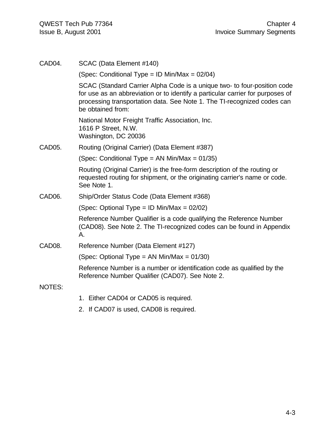| CAD04.              | SCAC (Data Element #140)                                                                                                                                                                                                                                   |
|---------------------|------------------------------------------------------------------------------------------------------------------------------------------------------------------------------------------------------------------------------------------------------------|
|                     | (Spec: Conditional Type = ID Min/Max = 02/04)                                                                                                                                                                                                              |
|                     | SCAC (Standard Carrier Alpha Code is a unique two- to four-position code<br>for use as an abbreviation or to identify a particular carrier for purposes of<br>processing transportation data. See Note 1. The TI-recognized codes can<br>be obtained from: |
|                     | National Motor Freight Traffic Association, Inc.<br>1616 P Street, N.W.<br>Washington, DC 20036                                                                                                                                                            |
| CAD05.              | Routing (Original Carrier) (Data Element #387)                                                                                                                                                                                                             |
|                     | (Spec: Conditional Type = AN Min/Max = $01/35$ )                                                                                                                                                                                                           |
|                     | Routing (Original Carrier) is the free-form description of the routing or<br>requested routing for shipment, or the originating carrier's name or code.<br>See Note 1.                                                                                     |
| CAD <sub>06</sub> . | Ship/Order Status Code (Data Element #368)                                                                                                                                                                                                                 |
|                     | (Spec: Optional Type = ID Min/Max = 02/02)                                                                                                                                                                                                                 |
|                     | Reference Number Qualifier is a code qualifying the Reference Number<br>(CAD08). See Note 2. The TI-recognized codes can be found in Appendix<br>А.                                                                                                        |
| CAD08.              | Reference Number (Data Element #127)                                                                                                                                                                                                                       |
|                     | (Spec: Optional Type = AN Min/Max = $01/30$ )                                                                                                                                                                                                              |
|                     | Reference Number is a number or identification code as qualified by the<br>Reference Number Qualifier (CAD07). See Note 2.                                                                                                                                 |
| <b>NOTES:</b>       |                                                                                                                                                                                                                                                            |
|                     | 1. Either CAD04 or CAD05 is required.                                                                                                                                                                                                                      |

2. If CAD07 is used, CAD08 is required.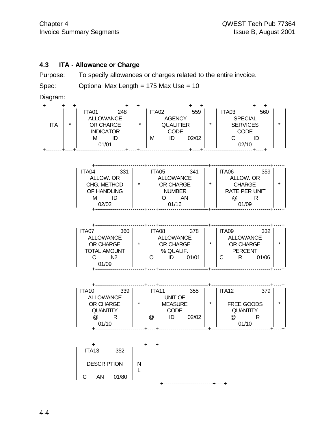# **4.3 ITA - Allowance or Charge**

Purpose: To specify allowances or charges related to the entire invoice.

Spec: Optional Max Length = 175 Max Use = 10

Diagram:

| ITA01            | 248     | ITA02                         | 559   |                                    | ITA03          | 560                                     |
|------------------|---------|-------------------------------|-------|------------------------------------|----------------|-----------------------------------------|
| <b>ALLOWANCE</b> |         |                               |       |                                    | <b>SPECIAL</b> |                                         |
|                  | $\star$ |                               |       | ÷                                  |                |                                         |
|                  |         |                               |       |                                    |                |                                         |
| ID<br>М          |         | М<br>ID                       | 02/02 |                                    |                | ID                                      |
| 01/01            |         |                               |       |                                    |                |                                         |
|                  |         | OR CHARGE<br><b>INDICATOR</b> |       | <b>AGENCY</b><br>QUALIFIER<br>CODE |                | <b>SERVICES</b><br><b>CODE</b><br>02/10 |

| ITA04       | 331 |         | ITA05 | 341              |         | ITA06                            | 359 |  |
|-------------|-----|---------|-------|------------------|---------|----------------------------------|-----|--|
| ALLOW. OR   |     |         |       | <b>ALLOWANCE</b> |         | ALLOW. OR                        |     |  |
| CHG. METHOD |     | $\star$ |       | OR CHARGE        | $\star$ | <b>CHARGE</b>                    |     |  |
| OF HANDLING |     |         |       | <b>NUMBER</b>    |         | <b>RATE PER UNIT</b>             |     |  |
| М           |     |         |       | AN               |         | $^{\scriptsize \textregistered}$ |     |  |
| 02/02       |     |         |       | 01/16            |         | 01/09                            |     |  |
|             |     |         |       |                  |         |                                  |     |  |

| ITA07            | 360                 |         | ITA08 |                  | 378   |         | ITA09 |                  | 332   |   |
|------------------|---------------------|---------|-------|------------------|-------|---------|-------|------------------|-------|---|
| <b>ALLOWANCE</b> |                     |         |       | <b>ALLOWANCE</b> |       |         |       | <b>ALLOWANCE</b> |       |   |
| OR CHARGE        |                     | $\star$ |       | OR CHARGE        |       | $\star$ |       | OR CHARGE        |       | × |
|                  | <b>TOTAL AMOUNT</b> |         |       | % QUALIF.        |       |         |       | <b>PERCENT</b>   |       |   |
| С                | N2                  |         |       | ID               | 01/01 |         |       |                  | 01/06 |   |
| 01/09            |                     |         |       |                  |       |         |       |                  |       |   |
|                  |                     |         |       |                  |       |         |       |                  |       |   |

| <b>ITA10</b>         | 339 |         | ITA11                     |                | 355   |         | ITA <sub>12</sub>    | 379             |   |
|----------------------|-----|---------|---------------------------|----------------|-------|---------|----------------------|-----------------|---|
| <b>ALLOWANCE</b>     |     |         |                           | UNIT OF        |       |         |                      |                 |   |
| OR CHARGE            |     | $\star$ |                           | <b>MEASURE</b> |       | $\star$ |                      | FREE GOODS      | * |
| <b>QUANTITY</b>      |     |         |                           | <b>CODE</b>    |       |         |                      | <b>QUANTITY</b> |   |
| $^{\textregistered}$ |     |         | $^\text{\textregistered}$ | ID             | 02/02 |         | $^{\textregistered}$ |                 |   |
| 01/10                |     |         |                           |                |       |         |                      | 01/10           |   |
|                      |     |         |                           |                |       |         |                      |                 |   |

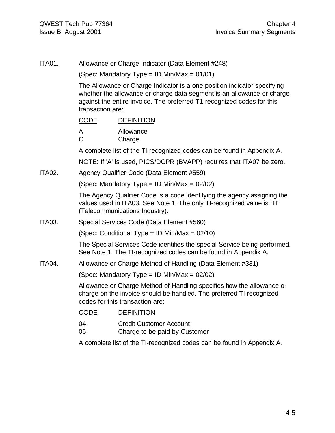ITA01. Allowance or Charge Indicator (Data Element #248)

(Spec: Mandatory Type = ID Min/Max = 01/01)

The Allowance or Charge Indicator is a one-position indicator specifying whether the allowance or charge data segment is an allowance or charge against the entire invoice. The preferred T1-recognized codes for this transaction are:

|        | CODE                                                                                                                                         | <b>DEFINITION</b>                                                                                                                                                                    |  |  |  |  |  |  |
|--------|----------------------------------------------------------------------------------------------------------------------------------------------|--------------------------------------------------------------------------------------------------------------------------------------------------------------------------------------|--|--|--|--|--|--|
|        | A<br>C                                                                                                                                       | Allowance<br>Charge                                                                                                                                                                  |  |  |  |  |  |  |
|        |                                                                                                                                              | A complete list of the TI-recognized codes can be found in Appendix A.                                                                                                               |  |  |  |  |  |  |
|        |                                                                                                                                              | NOTE: If 'A' is used, PICS/DCPR (BVAPP) requires that ITA07 be zero.                                                                                                                 |  |  |  |  |  |  |
| ITA02. |                                                                                                                                              | Agency Qualifier Code (Data Element #559)                                                                                                                                            |  |  |  |  |  |  |
|        |                                                                                                                                              | (Spec: Mandatory Type = ID Min/Max = 02/02)                                                                                                                                          |  |  |  |  |  |  |
|        |                                                                                                                                              | The Agency Qualifier Code is a code identifying the agency assigning the<br>values used in ITA03. See Note 1. The only TI-recognized value is 'TI'<br>(Telecommunications Industry). |  |  |  |  |  |  |
| ITA03. | Special Services Code (Data Element #560)                                                                                                    |                                                                                                                                                                                      |  |  |  |  |  |  |
|        | (Spec: Conditional Type = ID Min/Max = $02/10$ )                                                                                             |                                                                                                                                                                                      |  |  |  |  |  |  |
|        | The Special Services Code identifies the special Service being performed.<br>See Note 1. The TI-recognized codes can be found in Appendix A. |                                                                                                                                                                                      |  |  |  |  |  |  |
| ITA04. |                                                                                                                                              | Allowance or Charge Method of Handling (Data Element #331)                                                                                                                           |  |  |  |  |  |  |
|        | (Spec: Mandatory Type = ID Min/Max = $02/02$ )                                                                                               |                                                                                                                                                                                      |  |  |  |  |  |  |
|        |                                                                                                                                              | Allowance or Charge Method of Handling specifies how the allowance or<br>charge on the invoice should be handled. The preferred TI-recognized<br>codes for this transaction are:     |  |  |  |  |  |  |
|        | <b>CODE</b>                                                                                                                                  | <b>DEFINITION</b>                                                                                                                                                                    |  |  |  |  |  |  |
|        | 04<br>06                                                                                                                                     | <b>Credit Customer Account</b><br>Charge to be paid by Customer                                                                                                                      |  |  |  |  |  |  |

A complete list of the TI-recognized codes can be found in Appendix A.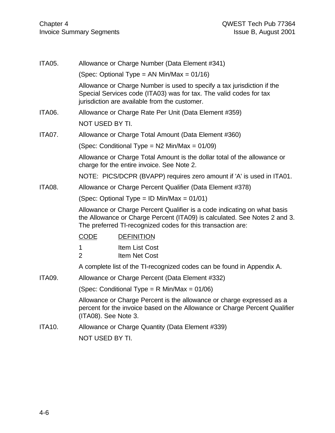| <b>ITA05.</b> | Allowance or Charge Number (Data Element #341)                                                                                                                                                                       |  |  |  |  |  |  |
|---------------|----------------------------------------------------------------------------------------------------------------------------------------------------------------------------------------------------------------------|--|--|--|--|--|--|
|               | (Spec: Optional Type = AN Min/Max = $01/16$ )                                                                                                                                                                        |  |  |  |  |  |  |
|               | Allowance or Charge Number is used to specify a tax jurisdiction if the<br>Special Services code (ITA03) was for tax. The valid codes for tax<br>jurisdiction are available from the customer.                       |  |  |  |  |  |  |
| <b>ITA06.</b> | Allowance or Charge Rate Per Unit (Data Element #359)                                                                                                                                                                |  |  |  |  |  |  |
|               | NOT USED BY TI.                                                                                                                                                                                                      |  |  |  |  |  |  |
| <b>ITA07.</b> | Allowance or Charge Total Amount (Data Element #360)                                                                                                                                                                 |  |  |  |  |  |  |
|               | (Spec: Conditional Type = $N2$ Min/Max = 01/09)                                                                                                                                                                      |  |  |  |  |  |  |
|               | Allowance or Charge Total Amount is the dollar total of the allowance or<br>charge for the entire invoice. See Note 2.                                                                                               |  |  |  |  |  |  |
|               | NOTE: PICS/DCPR (BVAPP) requires zero amount if 'A' is used in ITA01.                                                                                                                                                |  |  |  |  |  |  |
| <b>ITA08.</b> | Allowance or Charge Percent Qualifier (Data Element #378)                                                                                                                                                            |  |  |  |  |  |  |
|               | (Spec: Optional Type = ID Min/Max = $01/01$ )                                                                                                                                                                        |  |  |  |  |  |  |
|               | Allowance or Charge Percent Qualifier is a code indicating on what basis<br>the Allowance or Charge Percent (ITA09) is calculated. See Notes 2 and 3.<br>The preferred TI-recognized codes for this transaction are: |  |  |  |  |  |  |
|               | <b>CODE</b><br><b>DEFINITION</b>                                                                                                                                                                                     |  |  |  |  |  |  |
|               | $\mathbf{1}$<br><b>Item List Cost</b><br>$\overline{2}$<br><b>Item Net Cost</b>                                                                                                                                      |  |  |  |  |  |  |
|               | A complete list of the TI-recognized codes can be found in Appendix A.                                                                                                                                               |  |  |  |  |  |  |
| <b>ITA09.</b> | Allowance or Charge Percent (Data Element #332)                                                                                                                                                                      |  |  |  |  |  |  |
|               | (Spec: Conditional Type = $R$ Min/Max = 01/06)                                                                                                                                                                       |  |  |  |  |  |  |
|               | Allowance or Charge Percent is the allowance or charge expressed as a<br>percent for the invoice based on the Allowance or Charge Percent Qualifier<br>(ITA08). See Note 3.                                          |  |  |  |  |  |  |
| <b>ITA10.</b> | Allowance or Charge Quantity (Data Element #339)                                                                                                                                                                     |  |  |  |  |  |  |
|               | NOT USED BY TI.                                                                                                                                                                                                      |  |  |  |  |  |  |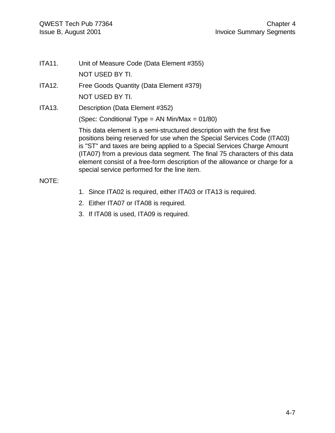- ITA11. Unit of Measure Code (Data Element #355) NOT USED BY TI.
- ITA12. Free Goods Quantity (Data Element #379) NOT USED BY TI.
- ITA13. Description (Data Element #352)

(Spec: Conditional Type = AN Min/Max = 01/80)

This data element is a semi-structured description with the first five positions being reserved for use when the Special Services Code (ITA03) is "ST" and taxes are being applied to a Special Services Charge Amount (ITA07) from a previous data segment. The final 75 characters of this data element consist of a free-form description of the allowance or charge for a special service performed for the line item.

#### NOTE:

- 1. Since ITA02 is required, either ITA03 or ITA13 is required.
- 2. Either ITA07 or ITA08 is required.
- 3. If ITA08 is used, ITA09 is required.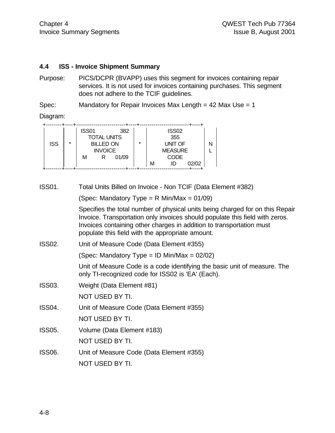#### **4.4 ISS - Invoice Shipment Summary**

Purpose: PICS/DCPR (BVAPP) uses this segment for invoices containing repair services. It is not used for invoices containing purchases. This segment does not adhere to the TCIF guidelines.

Spec: Mandatory for Repair Invoices Max Length = 42 Max Use = 1

Diagram:

|            |         | ISS01 |                    | 382   |         |   | <b>ISS02</b>   |       |  |
|------------|---------|-------|--------------------|-------|---------|---|----------------|-------|--|
|            |         |       | <b>TOTAL UNITS</b> |       |         |   | 355            |       |  |
| <b>ISS</b> | $\star$ |       | <b>BILLED ON</b>   |       | $\star$ |   | <b>UNIT OF</b> |       |  |
|            |         |       | <b>INVOICE</b>     |       |         |   | <b>MEASURE</b> |       |  |
|            |         | м     | к                  | 01/09 |         |   | <b>CODE</b>    |       |  |
|            |         |       |                    |       |         | м |                | 02/02 |  |
|            |         |       |                    |       |         |   |                |       |  |

ISS01. Total Units Billed on Invoice - Non TCIF (Data Element #382)

(Spec: Mandatory Type =  $R$  Min/Max = 01/09)

Specifies the total number of physical units being charged for on this Repair Invoice. Transportation only invoices should populate this field with zeros. Invoices containing other charges in addition to transportation must populate this field with the appropriate amount.

ISS02. Unit of Measure Code (Data Element #355)

(Spec: Mandatory Type = ID Min/Max = 02/02)

Unit of Measure Code is a code identifying the basic unit of measure. The only TI-recognized code for ISS02 is 'EA' (Each).

ISS03. Weight (Data Element #81)

NOT USED BY TI.

- ISS04. Unit of Measure Code (Data Element #355)
- NOT USED BY TI.
- ISS05. Volume (Data Element #183)

NOT USED BY TI.

ISS06. Unit of Measure Code (Data Element #355) NOT USED BY TI.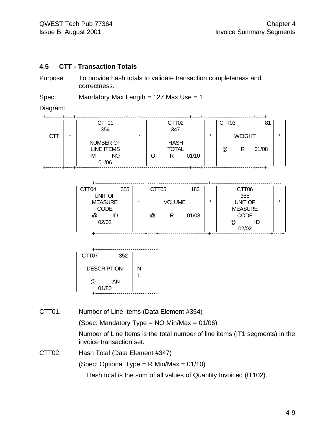#### **4.5 CTT - Transaction Totals**

Purpose: To provide hash totals to validate transaction completeness and correctness.

Spec: Mandatory Max Length = 127 Max Use = 1

Diagram:

|     |         | CTT <sub>01</sub>       |         |   | CTT <sub>02</sub>           |       |         | CTT <sub>03</sub> |               | 81    |         |
|-----|---------|-------------------------|---------|---|-----------------------------|-------|---------|-------------------|---------------|-------|---------|
| CTT | $\star$ | 354                     | $\star$ |   | 347                         |       | $\star$ |                   | <b>WEIGHT</b> |       | $\star$ |
|     |         | NUMBER OF<br>LINE ITEMS |         |   | <b>HASH</b><br><b>TOTAL</b> |       |         | $^{\copyright}$   | R             | 01/08 |         |
|     |         | <b>NO</b><br>М<br>01/06 |         | 0 | R                           | 01/10 |         |                   |               |       |         |

| CTT <sub>04</sub>          | 355 |         | CTT <sub>05</sub> |               | 183   |         | CTT06          |         |
|----------------------------|-----|---------|-------------------|---------------|-------|---------|----------------|---------|
| UNIT OF                    |     |         |                   |               |       |         | 355            |         |
| <b>MEASURE</b>             |     | $\star$ |                   | <b>VOLUME</b> |       | $\star$ | UNIT OF        | $\star$ |
| <b>CODE</b>                |     |         |                   |               |       |         | <b>MEASURE</b> |         |
| $^{\textregistered}$<br>ID |     |         | @                 | R             | 01/08 |         | <b>CODE</b>    |         |
| 02/02                      |     |         |                   |               |       |         | @<br>ID        |         |
|                            |     |         |                   |               |       |         | 02/02          |         |
|                            |     |         |                   |               |       |         |                |         |



CTT01. Number of Line Items (Data Element #354)

(Spec: Mandatory Type = NO Min/Max = 01/06)

Number of Line Items is the total number of line items (IT1 segments) in the invoice transaction set.

CTT02. Hash Total (Data Element #347)

(Spec: Optional Type = R Min/Max =  $01/10$ )

Hash total is the sum of all values of Quantity Invoiced (IT102).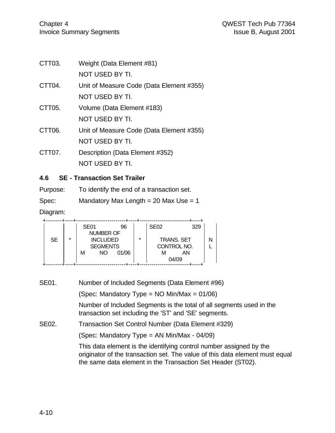| CTT03. | Weight (Data Element #81)                |
|--------|------------------------------------------|
|        | NOT USED BY TI.                          |
| CTT04. | Unit of Measure Code (Data Element #355) |
|        | NOT USED BY TI.                          |
| CTT05. | Volume (Data Element #183)               |
|        | NOT USED BY TI.                          |
| CTT06. | Unit of Measure Code (Data Element #355) |
|        | NOT USED BY TI.                          |
| CTT07. | Description (Data Element #352)          |
|        | NOT USED BY TI.                          |

### **4.6 SE - Transaction Set Trailer**

Purpose: To identify the end of a transaction set.

Spec: Mandatory Max Length = 20 Max Use = 1

Diagram:

|           |         | SE <sub>01</sub> |                  | 96    |         | <b>SE02</b> | 329               |  |
|-----------|---------|------------------|------------------|-------|---------|-------------|-------------------|--|
|           |         |                  | <b>NUMBER OF</b> |       |         |             |                   |  |
| <b>SE</b> | $\star$ |                  | <b>INCLUDED</b>  |       | $\star$ |             | <b>TRANS. SET</b> |  |
|           |         |                  | <b>SEGMENTS</b>  |       |         |             | CONTROL NO.       |  |
|           |         | м                | NO.              | 01/06 |         |             | ΑN                |  |
|           |         |                  |                  |       |         |             | 04/09             |  |
|           |         |                  |                  |       |         |             |                   |  |

| SE01. | Number of Included Segments (Data Element #96)                                                                                                                                                                     |
|-------|--------------------------------------------------------------------------------------------------------------------------------------------------------------------------------------------------------------------|
|       | (Spec: Mandatory Type = NO Min/Max = 01/06)                                                                                                                                                                        |
|       | Number of Included Segments is the total of all segments used in the<br>transaction set including the 'ST' and 'SE' segments.                                                                                      |
| SE02. | Transaction Set Control Number (Data Element #329)                                                                                                                                                                 |
|       | (Spec: Mandatory Type = AN Min/Max - 04/09)                                                                                                                                                                        |
|       | This data element is the identifying control number assigned by the<br>originator of the transaction set. The value of this data element must equal<br>the same data element in the Transaction Set Header (ST02). |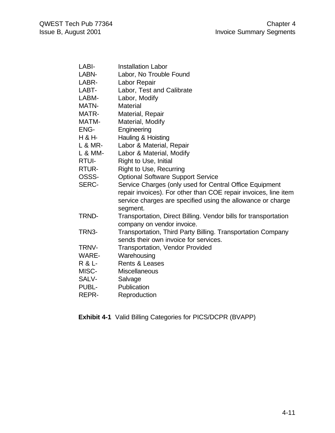| LABI-        | <b>Installation Labor</b>                                                                                                                                                                             |
|--------------|-------------------------------------------------------------------------------------------------------------------------------------------------------------------------------------------------------|
| LABN-        | Labor, No Trouble Found                                                                                                                                                                               |
| LABR-        | Labor Repair                                                                                                                                                                                          |
| LABT-        | Labor, Test and Calibrate                                                                                                                                                                             |
| LABM-        | Labor, Modify                                                                                                                                                                                         |
| <b>MATN-</b> | <b>Material</b>                                                                                                                                                                                       |
| MATR-        | Material, Repair                                                                                                                                                                                      |
| MATM-        | Material, Modify                                                                                                                                                                                      |
| ENG-         | Engineering                                                                                                                                                                                           |
| H & H-       | Hauling & Hoisting                                                                                                                                                                                    |
| L & MR-      | Labor & Material, Repair                                                                                                                                                                              |
| L & MM-      | Labor & Material, Modify                                                                                                                                                                              |
| <b>RTUI-</b> | <b>Right to Use, Initial</b>                                                                                                                                                                          |
| RTUR-        | <b>Right to Use, Recurring</b>                                                                                                                                                                        |
| OSSS-        | <b>Optional Software Support Service</b>                                                                                                                                                              |
| <b>SERC-</b> | Service Charges (only used for Central Office Equipment<br>repair invoices). For other than COE repair invoices, line item<br>service charges are specified using the allowance or charge<br>segment. |
| TRND-        | Transportation, Direct Billing. Vendor bills for transportation<br>company on vendor invoice.                                                                                                         |
| TRN3-        | Transportation, Third Party Billing. Transportation Company<br>sends their own invoice for services.                                                                                                  |
| TRNV-        | <b>Transportation, Vendor Provided</b>                                                                                                                                                                |
| WARE-        | Warehousing                                                                                                                                                                                           |
| R & L-       | <b>Rents &amp; Leases</b>                                                                                                                                                                             |
| MISC-        | Miscellaneous                                                                                                                                                                                         |
| SALV-        | Salvage                                                                                                                                                                                               |
| PUBL-        | Publication                                                                                                                                                                                           |
| REPR-        | Reproduction                                                                                                                                                                                          |

**Exhibit 4-1** Valid Billing Categories for PICS/DCPR (BVAPP)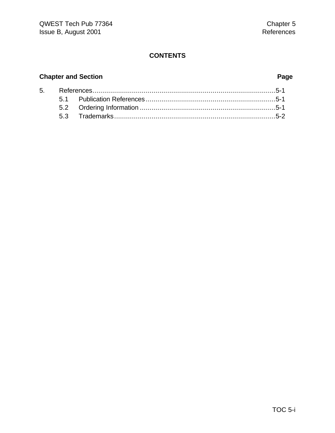# **CONTENTS**

# **Chapter and Section Page**

| 5.         References………………………………………………………………………………5-1 |  |  |  |  |  |  |
|--------------------------------------------------------|--|--|--|--|--|--|
|                                                        |  |  |  |  |  |  |
|                                                        |  |  |  |  |  |  |
|                                                        |  |  |  |  |  |  |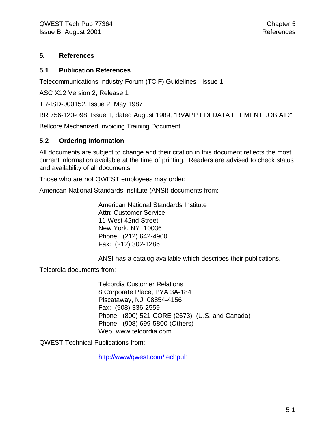#### **5. References**

#### **5.1 Publication References**

Telecommunications Industry Forum (TCIF) Guidelines - Issue 1

ASC X12 Version 2, Release 1

TR-ISD-000152, Issue 2, May 1987

BR 756-120-098, Issue 1, dated August 1989, "BVAPP EDI DATA ELEMENT JOB AID"

Bellcore Mechanized Invoicing Training Document

#### **5.2 Ordering Information**

All documents are subject to change and their citation in this document reflects the most current information available at the time of printing. Readers are advised to check status and availability of all documents.

Those who are not QWEST employees may order;

American National Standards Institute (ANSI) documents from:

American National Standards Institute Attn: Customer Service 11 West 42nd Street New York, NY 10036 Phone: (212) 642-4900 Fax: (212) 302-1286

ANSI has a catalog available which describes their publications.

Telcordia documents from:

Telcordia Customer Relations 8 Corporate Place, PYA 3A-184 Piscataway, NJ 08854-4156 Fax: (908) 336-2559 Phone: (800) 521-CORE (2673) (U.S. and Canada) Phone: (908) 699-5800 (Others) Web: www.telcordia.com

QWEST Technical Publications from:

http://www/qwest.com/techpub